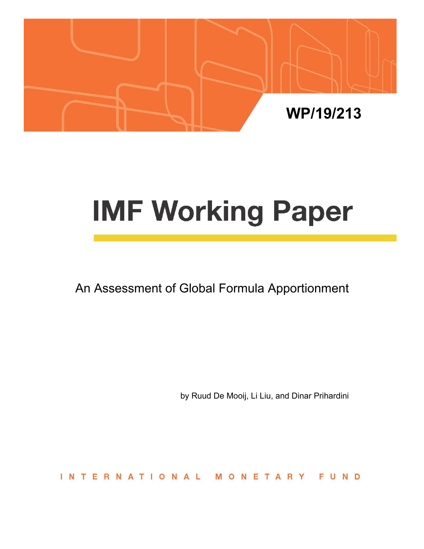

# **IMF Working Paper**

An Assessment of Global Formula Apportionment

by Ruud De Mooij, Li Liu, and Dinar Prihardini

**INTERNATIONAL** ETARY FUND M **N**  $\Omega$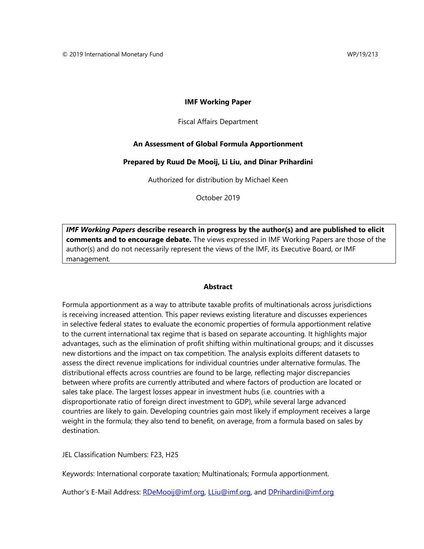#### **IMF Working Paper**

Fiscal Affairs Department

#### **An Assessment of Global Formula Apportionment**

#### **Prepared by Ruud De Mooij, Li Liu, and Dinar Prihardini**

Authorized for distribution by Michael Keen

October 2019

*IMF Working Papers* **describe research in progress by the author(s) and are published to elicit comments and to encourage debate.** The views expressed in IMF Working Papers are those of the author(s) and do not necessarily represent the views of the IMF, its Executive Board, or IMF management.

#### **Abstract**

Formula apportionment as a way to attribute taxable profits of multinationals across jurisdictions is receiving increased attention. This paper reviews existing literature and discusses experiences in selective federal states to evaluate the economic properties of formula apportionment relative to the current international tax regime that is based on separate accounting. It highlights major advantages, such as the elimination of profit shifting within multinational groups; and it discusses new distortions and the impact on tax competition. The analysis exploits different datasets to assess the direct revenue implications for individual countries under alternative formulas. The distributional effects across countries are found to be large, reflecting major discrepancies between where profits are currently attributed and where factors of production are located or sales take place. The largest losses appear in investment hubs (i.e. countries with a disproportionate ratio of foreign direct investment to GDP), while several large advanced countries are likely to gain. Developing countries gain most likely if employment receives a large weight in the formula; they also tend to benefit, on average, from a formula based on sales by destination.

JEL Classification Numbers: F23, H25

Keywords: International corporate taxation; Multinationals; Formula apportionment.

Author's E-Mail Address: RDeMooij@imf.org, LLiu@imf.org, and DPrihardini@imf.org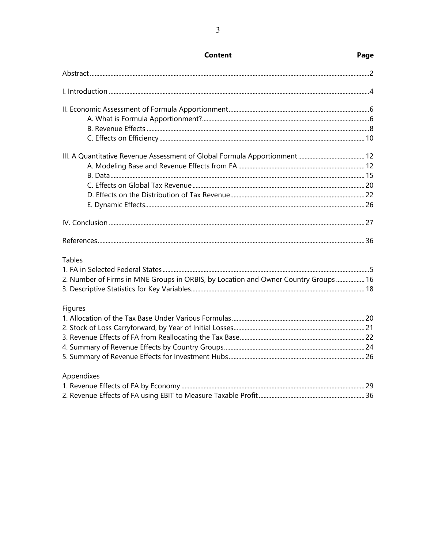| <b>Tables</b>                                                                      |  |
|------------------------------------------------------------------------------------|--|
|                                                                                    |  |
| 2. Number of Firms in MNE Groups in ORBIS, by Location and Owner Country Groups 16 |  |
|                                                                                    |  |
| Figures                                                                            |  |
|                                                                                    |  |
|                                                                                    |  |
|                                                                                    |  |
|                                                                                    |  |
|                                                                                    |  |
| Appendixes                                                                         |  |
|                                                                                    |  |
|                                                                                    |  |
|                                                                                    |  |

## **Content**

#### Page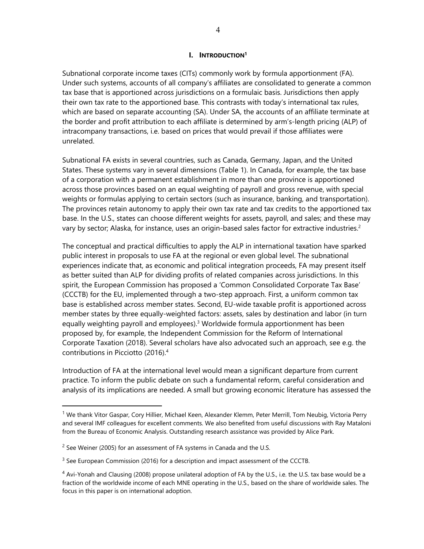#### **I. INTRODUCTION1**

Subnational corporate income taxes (CITs) commonly work by formula apportionment (FA). Under such systems, accounts of all company's affiliates are consolidated to generate a common tax base that is apportioned across jurisdictions on a formulaic basis. Jurisdictions then apply their own tax rate to the apportioned base. This contrasts with today's international tax rules, which are based on separate accounting (SA). Under SA, the accounts of an affiliate terminate at the border and profit attribution to each affiliate is determined by arm's-length pricing (ALP) of intracompany transactions, i.e. based on prices that would prevail if those affiliates were unrelated.

Subnational FA exists in several countries, such as Canada, Germany, Japan, and the United States. These systems vary in several dimensions (Table 1). In Canada, for example, the tax base of a corporation with a permanent establishment in more than one province is apportioned across those provinces based on an equal weighting of payroll and gross revenue, with special weights or formulas applying to certain sectors (such as insurance, banking, and transportation). The provinces retain autonomy to apply their own tax rate and tax credits to the apportioned tax base. In the U.S., states can choose different weights for assets, payroll, and sales; and these may vary by sector; Alaska, for instance, uses an origin-based sales factor for extractive industries.<sup>2</sup>

The conceptual and practical difficulties to apply the ALP in international taxation have sparked public interest in proposals to use FA at the regional or even global level. The subnational experiences indicate that, as economic and political integration proceeds, FA may present itself as better suited than ALP for dividing profits of related companies across jurisdictions. In this spirit, the European Commission has proposed a 'Common Consolidated Corporate Tax Base' (CCCTB) for the EU, implemented through a two-step approach. First, a uniform common tax base is established across member states. Second, EU-wide taxable profit is apportioned across member states by three equally-weighted factors: assets, sales by destination and labor (in turn equally weighting payroll and employees).<sup>3</sup> Worldwide formula apportionment has been proposed by, for example, the Independent Commission for the Reform of International Corporate Taxation (2018). Several scholars have also advocated such an approach, see e.g. the contributions in Picciotto (2016).4

Introduction of FA at the international level would mean a significant departure from current practice. To inform the public debate on such a fundamental reform, careful consideration and analysis of its implications are needed. A small but growing economic literature has assessed the

<sup>&</sup>lt;sup>1</sup> We thank Vitor Gaspar, Cory Hillier, Michael Keen, Alexander Klemm, Peter Merrill, Tom Neubig, Victoria Perry and several IMF colleagues for excellent comments. We also benefited from useful discussions with Ray Mataloni from the Bureau of Economic Analysis. Outstanding research assistance was provided by Alice Park.

 $2$  See Weiner (2005) for an assessment of FA systems in Canada and the U.S.

<sup>&</sup>lt;sup>3</sup> See European Commission (2016) for a description and impact assessment of the CCCTB.

<sup>&</sup>lt;sup>4</sup> Avi-Yonah and Clausing (2008) propose unilateral adoption of FA by the U.S., i.e. the U.S. tax base would be a fraction of the worldwide income of each MNE operating in the U.S., based on the share of worldwide sales. The focus in this paper is on international adoption.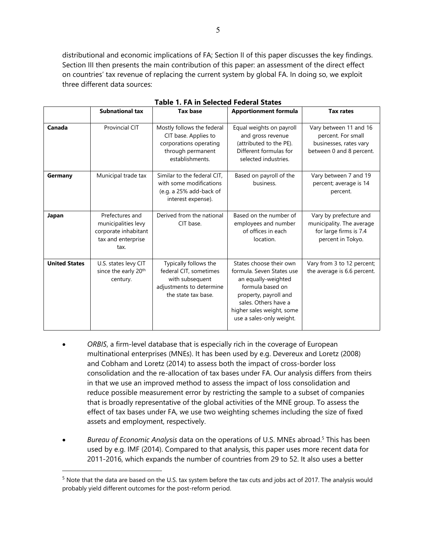distributional and economic implications of FA; Section II of this paper discusses the key findings. Section III then presents the main contribution of this paper: an assessment of the direct effect on countries' tax revenue of replacing the current system by global FA. In doing so, we exploit three different data sources:

|                      | <b>Subnational tax</b>                                                                       | <b>Tax base</b>                                                                                                       | <b>Apportionment formula</b>                                                                                                                                                                              | <b>Tax rates</b>                                                                                   |
|----------------------|----------------------------------------------------------------------------------------------|-----------------------------------------------------------------------------------------------------------------------|-----------------------------------------------------------------------------------------------------------------------------------------------------------------------------------------------------------|----------------------------------------------------------------------------------------------------|
| Canada               | <b>Provincial CIT</b>                                                                        | Mostly follows the federal<br>CIT base. Applies to<br>corporations operating<br>through permanent<br>establishments.  | Equal weights on payroll<br>and gross revenue<br>(attributed to the PE).<br>Different formulas for<br>selected industries.                                                                                | Vary between 11 and 16<br>percent. For small<br>businesses, rates vary<br>between 0 and 8 percent. |
| Germany              | Municipal trade tax                                                                          | Similar to the federal CIT,<br>with some modifications<br>(e.g. a 25% add-back of<br>interest expense).               | Based on payroll of the<br>business.                                                                                                                                                                      | Vary between 7 and 19<br>percent; average is 14<br>percent.                                        |
| Japan                | Prefectures and<br>municipalities levy<br>corporate inhabitant<br>tax and enterprise<br>tax. | Derived from the national<br>CIT base.                                                                                | Based on the number of<br>employees and number<br>of offices in each<br>location.                                                                                                                         | Vary by prefecture and<br>municipality. The average<br>for large firms is 7.4<br>percent in Tokyo. |
| <b>United States</b> | U.S. states levy CIT<br>since the early 20 <sup>th</sup><br>century.                         | Typically follows the<br>federal CIT, sometimes<br>with subsequent<br>adjustments to determine<br>the state tax base. | States choose their own<br>formula. Seven States use<br>an equally-weighted<br>formula based on<br>property, payroll and<br>sales. Others have a<br>higher sales weight, some<br>use a sales-only weight. | Vary from 3 to 12 percent;<br>the average is 6.6 percent.                                          |

#### **Table 1. FA in Selected Federal States**

- *ORBIS*, a firm-level database that is especially rich in the coverage of European multinational enterprises (MNEs). It has been used by e.g. Devereux and Loretz (2008) and Cobham and Loretz (2014) to assess both the impact of cross-border loss consolidation and the re-allocation of tax bases under FA. Our analysis differs from theirs in that we use an improved method to assess the impact of loss consolidation and reduce possible measurement error by restricting the sample to a subset of companies that is broadly representative of the global activities of the MNE group. To assess the effect of tax bases under FA, we use two weighting schemes including the size of fixed assets and employment, respectively.
- Bureau of Economic Analysis data on the operations of U.S. MNEs abroad.<sup>5</sup> This has been used by e.g. IMF (2014). Compared to that analysis, this paper uses more recent data for 2011-2016, which expands the number of countries from 29 to 52. It also uses a better

 $5$  Note that the data are based on the U.S. tax system before the tax cuts and jobs act of 2017. The analysis would probably yield different outcomes for the post-reform period.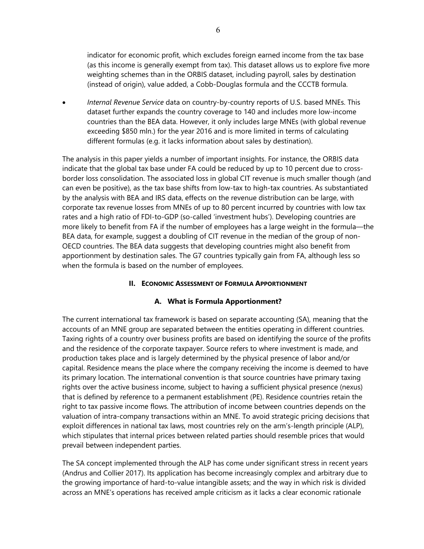indicator for economic profit, which excludes foreign earned income from the tax base (as this income is generally exempt from tax). This dataset allows us to explore five more weighting schemes than in the ORBIS dataset, including payroll, sales by destination (instead of origin), value added, a Cobb-Douglas formula and the CCCTB formula.

 *Internal Revenue Service* data on country-by-country reports of U.S. based MNEs. This dataset further expands the country coverage to 140 and includes more low-income countries than the BEA data. However, it only includes large MNEs (with global revenue exceeding \$850 mln.) for the year 2016 and is more limited in terms of calculating different formulas (e.g. it lacks information about sales by destination).

The analysis in this paper yields a number of important insights. For instance, the ORBIS data indicate that the global tax base under FA could be reduced by up to 10 percent due to crossborder loss consolidation. The associated loss in global CIT revenue is much smaller though (and can even be positive), as the tax base shifts from low-tax to high-tax countries. As substantiated by the analysis with BEA and IRS data, effects on the revenue distribution can be large, with corporate tax revenue losses from MNEs of up to 80 percent incurred by countries with low tax rates and a high ratio of FDI-to-GDP (so-called 'investment hubs'). Developing countries are more likely to benefit from FA if the number of employees has a large weight in the formula—the BEA data, for example, suggest a doubling of CIT revenue in the median of the group of non-OECD countries. The BEA data suggests that developing countries might also benefit from apportionment by destination sales. The G7 countries typically gain from FA, although less so when the formula is based on the number of employees.

# **II. ECONOMIC ASSESSMENT OF FORMULA APPORTIONMENT**

# **A. What is Formula Apportionment?**

The current international tax framework is based on separate accounting (SA), meaning that the accounts of an MNE group are separated between the entities operating in different countries. Taxing rights of a country over business profits are based on identifying the source of the profits and the residence of the corporate taxpayer. Source refers to where investment is made, and production takes place and is largely determined by the physical presence of labor and/or capital. Residence means the place where the company receiving the income is deemed to have its primary location. The international convention is that source countries have primary taxing rights over the active business income, subject to having a sufficient physical presence (nexus) that is defined by reference to a permanent establishment (PE). Residence countries retain the right to tax passive income flows. The attribution of income between countries depends on the valuation of intra-company transactions within an MNE. To avoid strategic pricing decisions that exploit differences in national tax laws, most countries rely on the arm's-length principle (ALP), which stipulates that internal prices between related parties should resemble prices that would prevail between independent parties.

The SA concept implemented through the ALP has come under significant stress in recent years (Andrus and Collier 2017). Its application has become increasingly complex and arbitrary due to the growing importance of hard-to-value intangible assets; and the way in which risk is divided across an MNE's operations has received ample criticism as it lacks a clear economic rationale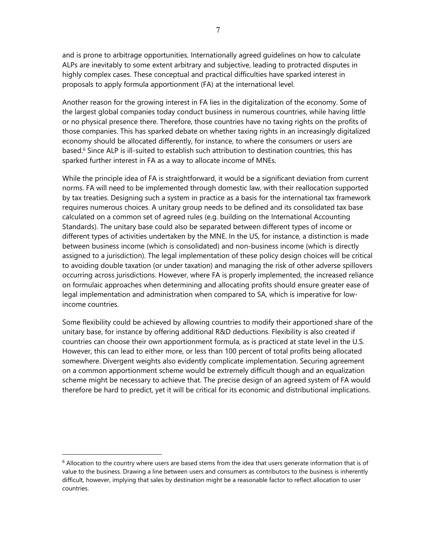and is prone to arbitrage opportunities. Internationally agreed guidelines on how to calculate ALPs are inevitably to some extent arbitrary and subjective, leading to protracted disputes in highly complex cases. These conceptual and practical difficulties have sparked interest in proposals to apply formula apportionment (FA) at the international level.

Another reason for the growing interest in FA lies in the digitalization of the economy. Some of the largest global companies today conduct business in numerous countries, while having little or no physical presence there. Therefore, those countries have no taxing rights on the profits of those companies. This has sparked debate on whether taxing rights in an increasingly digitalized economy should be allocated differently, for instance, to where the consumers or users are based.<sup>6</sup> Since ALP is ill-suited to establish such attribution to destination countries, this has sparked further interest in FA as a way to allocate income of MNEs.

While the principle idea of FA is straightforward, it would be a significant deviation from current norms. FA will need to be implemented through domestic law, with their reallocation supported by tax treaties. Designing such a system in practice as a basis for the international tax framework requires numerous choices. A unitary group needs to be defined and its consolidated tax base calculated on a common set of agreed rules (e.g. building on the International Accounting Standards). The unitary base could also be separated between different types of income or different types of activities undertaken by the MNE. In the US, for instance, a distinction is made between business income (which is consolidated) and non-business income (which is directly assigned to a jurisdiction). The legal implementation of these policy design choices will be critical to avoiding double taxation (or under taxation) and managing the risk of other adverse spillovers occurring across jurisdictions. However, where FA is properly implemented, the increased reliance on formulaic approaches when determining and allocating profits should ensure greater ease of legal implementation and administration when compared to SA, which is imperative for lowincome countries.

Some flexibility could be achieved by allowing countries to modify their apportioned share of the unitary base, for instance by offering additional R&D deductions. Flexibility is also created if countries can choose their own apportionment formula, as is practiced at state level in the U.S. However, this can lead to either more, or less than 100 percent of total profits being allocated somewhere. Divergent weights also evidently complicate implementation. Securing agreement on a common apportionment scheme would be extremely difficult though and an equalization scheme might be necessary to achieve that. The precise design of an agreed system of FA would therefore be hard to predict, yet it will be critical for its economic and distributional implications.

 $6$  Allocation to the country where users are based stems from the idea that users generate information that is of value to the business. Drawing a line between users and consumers as contributors to the business is inherently difficult, however, implying that sales by destination might be a reasonable factor to reflect allocation to user countries.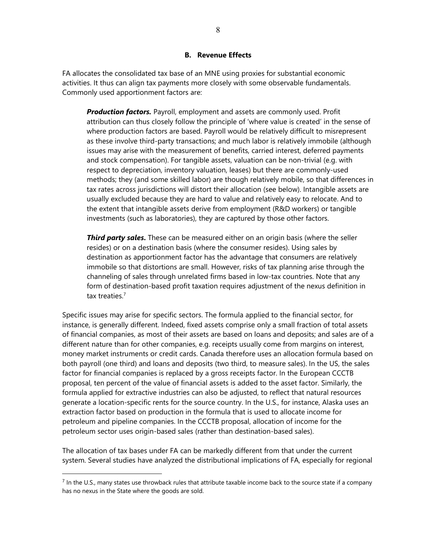#### **B. Revenue Effects**

FA allocates the consolidated tax base of an MNE using proxies for substantial economic activities. It thus can align tax payments more closely with some observable fundamentals. Commonly used apportionment factors are:

*Production factors.* Payroll, employment and assets are commonly used. Profit attribution can thus closely follow the principle of 'where value is created' in the sense of where production factors are based. Payroll would be relatively difficult to misrepresent as these involve third-party transactions; and much labor is relatively immobile (although issues may arise with the measurement of benefits, carried interest, deferred payments and stock compensation). For tangible assets, valuation can be non-trivial (e.g. with respect to depreciation, inventory valuation, leases) but there are commonly-used methods; they (and some skilled labor) are though relatively mobile, so that differences in tax rates across jurisdictions will distort their allocation (see below). Intangible assets are usually excluded because they are hard to value and relatively easy to relocate. And to the extent that intangible assets derive from employment (R&D workers) or tangible investments (such as laboratories), they are captured by those other factors.

**Third party sales.** These can be measured either on an origin basis (where the seller resides) or on a destination basis (where the consumer resides). Using sales by destination as apportionment factor has the advantage that consumers are relatively immobile so that distortions are small. However, risks of tax planning arise through the channeling of sales through unrelated firms based in low-tax countries. Note that any form of destination-based profit taxation requires adjustment of the nexus definition in tax treaties.<sup>7</sup>

Specific issues may arise for specific sectors. The formula applied to the financial sector, for instance, is generally different. Indeed, fixed assets comprise only a small fraction of total assets of financial companies, as most of their assets are based on loans and deposits; and sales are of a different nature than for other companies, e.g. receipts usually come from margins on interest, money market instruments or credit cards. Canada therefore uses an allocation formula based on both payroll (one third) and loans and deposits (two third, to measure sales). In the US, the sales factor for financial companies is replaced by a gross receipts factor. In the European CCCTB proposal, ten percent of the value of financial assets is added to the asset factor. Similarly, the formula applied for extractive industries can also be adjusted, to reflect that natural resources generate a location-specific rents for the source country. In the U.S., for instance, Alaska uses an extraction factor based on production in the formula that is used to allocate income for petroleum and pipeline companies. In the CCCTB proposal, allocation of income for the petroleum sector uses origin-based sales (rather than destination-based sales).

The allocation of tax bases under FA can be markedly different from that under the current system. Several studies have analyzed the distributional implications of FA, especially for regional

 $^7$  In the U.S., many states use throwback rules that attribute taxable income back to the source state if a company has no nexus in the State where the goods are sold.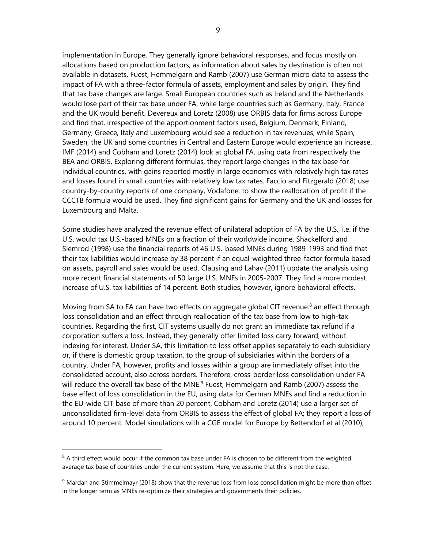implementation in Europe. They generally ignore behavioral responses, and focus mostly on allocations based on production factors, as information about sales by destination is often not available in datasets. Fuest, Hemmelgarn and Ramb (2007) use German micro data to assess the impact of FA with a three-factor formula of assets, employment and sales by origin. They find that tax base changes are large. Small European countries such as Ireland and the Netherlands would lose part of their tax base under FA, while large countries such as Germany, Italy, France and the UK would benefit. Devereux and Loretz (2008) use ORBIS data for firms across Europe and find that, irrespective of the apportionment factors used, Belgium, Denmark, Finland, Germany, Greece, Italy and Luxembourg would see a reduction in tax revenues, while Spain, Sweden, the UK and some countries in Central and Eastern Europe would experience an increase. IMF (2014) and Cobham and Loretz (2014) look at global FA, using data from respectively the BEA and ORBIS. Exploring different formulas, they report large changes in the tax base for individual countries, with gains reported mostly in large economies with relatively high tax rates and losses found in small countries with relatively low tax rates. Faccio and Fitzgerald (2018) use country-by-country reports of one company, Vodafone, to show the reallocation of profit if the CCCTB formula would be used. They find significant gains for Germany and the UK and losses for Luxembourg and Malta.

Some studies have analyzed the revenue effect of unilateral adoption of FA by the U.S., i.e. if the U.S. would tax U.S.-based MNEs on a fraction of their worldwide income. Shackelford and Slemrod (1998) use the financial reports of 46 U.S.-based MNEs during 1989-1993 and find that their tax liabilities would increase by 38 percent if an equal-weighted three-factor formula based on assets, payroll and sales would be used. Clausing and Lahav (2011) update the analysis using more recent financial statements of 50 large U.S. MNEs in 2005-2007. They find a more modest increase of U.S. tax liabilities of 14 percent. Both studies, however, ignore behavioral effects.

Moving from SA to FA can have two effects on aggregate global CIT revenue:<sup>8</sup> an effect through loss consolidation and an effect through reallocation of the tax base from low to high-tax countries. Regarding the first, CIT systems usually do not grant an immediate tax refund if a corporation suffers a loss. Instead, they generally offer limited loss carry forward, without indexing for interest. Under SA, this limitation to loss offset applies separately to each subsidiary or, if there is domestic group taxation, to the group of subsidiaries within the borders of a country. Under FA, however, profits and losses within a group are immediately offset into the consolidated account, also across borders. Therefore, cross-border loss consolidation under FA will reduce the overall tax base of the MNE.<sup>9</sup> Fuest, Hemmelgarn and Ramb (2007) assess the base effect of loss consolidation in the EU, using data for German MNEs and find a reduction in the EU-wide CIT base of more than 20 percent. Cobham and Loretz (2014) use a larger set of unconsolidated firm-level data from ORBIS to assess the effect of global FA; they report a loss of around 10 percent. Model simulations with a CGE model for Europe by Bettendorf et al (2010),

 $8$  A third effect would occur if the common tax base under FA is chosen to be different from the weighted average tax base of countries under the current system. Here, we assume that this is not the case.

 $9$  Mardan and Stimmelmayr (2018) show that the revenue loss from loss consolidation might be more than offset in the longer term as MNEs re-optimize their strategies and governments their policies.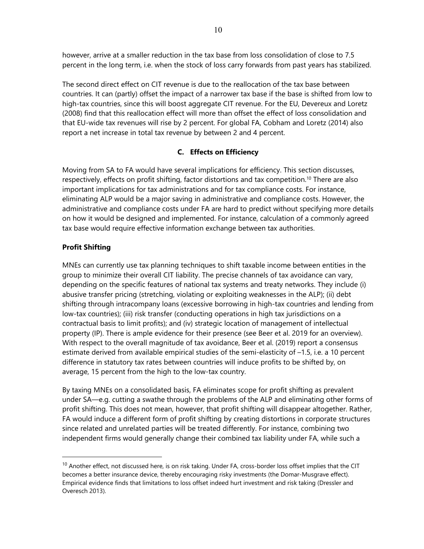however, arrive at a smaller reduction in the tax base from loss consolidation of close to 7.5 percent in the long term, i.e. when the stock of loss carry forwards from past years has stabilized.

The second direct effect on CIT revenue is due to the reallocation of the tax base between countries. It can (partly) offset the impact of a narrower tax base if the base is shifted from low to high-tax countries, since this will boost aggregate CIT revenue. For the EU, Devereux and Loretz (2008) find that this reallocation effect will more than offset the effect of loss consolidation and that EU-wide tax revenues will rise by 2 percent. For global FA, Cobham and Loretz (2014) also report a net increase in total tax revenue by between 2 and 4 percent.

# **C. Effects on Efficiency**

Moving from SA to FA would have several implications for efficiency. This section discusses, respectively, effects on profit shifting, factor distortions and tax competition.<sup>10</sup> There are also important implications for tax administrations and for tax compliance costs. For instance, eliminating ALP would be a major saving in administrative and compliance costs. However, the administrative and compliance costs under FA are hard to predict without specifying more details on how it would be designed and implemented. For instance, calculation of a commonly agreed tax base would require effective information exchange between tax authorities.

# **Profit Shifting**

 $\overline{a}$ 

MNEs can currently use tax planning techniques to shift taxable income between entities in the group to minimize their overall CIT liability. The precise channels of tax avoidance can vary, depending on the specific features of national tax systems and treaty networks. They include (i) abusive transfer pricing (stretching, violating or exploiting weaknesses in the ALP); (ii) debt shifting through intracompany loans (excessive borrowing in high-tax countries and lending from low-tax countries); (iii) risk transfer (conducting operations in high tax jurisdictions on a contractual basis to limit profits); and (iv) strategic location of management of intellectual property (IP). There is ample evidence for their presence (see Beer et al. 2019 for an overview). With respect to the overall magnitude of tax avoidance, Beer et al. (2019) report a consensus estimate derived from available empirical studies of the semi-elasticity of –1.5, i.e. a 10 percent difference in statutory tax rates between countries will induce profits to be shifted by, on average, 15 percent from the high to the low-tax country.

By taxing MNEs on a consolidated basis, FA eliminates scope for profit shifting as prevalent under SA—e.g. cutting a swathe through the problems of the ALP and eliminating other forms of profit shifting. This does not mean, however, that profit shifting will disappear altogether. Rather, FA would induce a different form of profit shifting by creating distortions in corporate structures since related and unrelated parties will be treated differently. For instance, combining two independent firms would generally change their combined tax liability under FA, while such a

 $10$  Another effect, not discussed here, is on risk taking. Under FA, cross-border loss offset implies that the CIT becomes a better insurance device, thereby encouraging risky investments (the Domar-Musgrave effect). Empirical evidence finds that limitations to loss offset indeed hurt investment and risk taking (Dressler and Overesch 2013).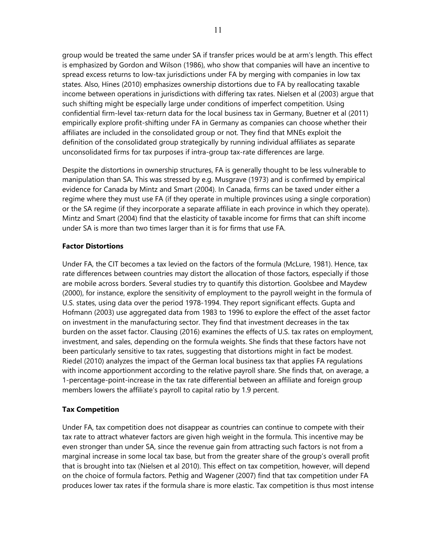group would be treated the same under SA if transfer prices would be at arm's length. This effect is emphasized by Gordon and Wilson (1986), who show that companies will have an incentive to spread excess returns to low-tax jurisdictions under FA by merging with companies in low tax states. Also, Hines (2010) emphasizes ownership distortions due to FA by reallocating taxable income between operations in jurisdictions with differing tax rates. Nielsen et al (2003) argue that such shifting might be especially large under conditions of imperfect competition. Using confidential firm-level tax-return data for the local business tax in Germany, Buetner et al (2011) empirically explore profit-shifting under FA in Germany as companies can choose whether their affiliates are included in the consolidated group or not. They find that MNEs exploit the definition of the consolidated group strategically by running individual affiliates as separate unconsolidated firms for tax purposes if intra-group tax-rate differences are large.

Despite the distortions in ownership structures, FA is generally thought to be less vulnerable to manipulation than SA. This was stressed by e.g. Musgrave (1973) and is confirmed by empirical evidence for Canada by Mintz and Smart (2004). In Canada, firms can be taxed under either a regime where they must use FA (if they operate in multiple provinces using a single corporation) or the SA regime (if they incorporate a separate affiliate in each province in which they operate). Mintz and Smart (2004) find that the elasticity of taxable income for firms that can shift income under SA is more than two times larger than it is for firms that use FA.

### **Factor Distortions**

Under FA, the CIT becomes a tax levied on the factors of the formula (McLure, 1981). Hence, tax rate differences between countries may distort the allocation of those factors, especially if those are mobile across borders. Several studies try to quantify this distortion. Goolsbee and Maydew (2000), for instance, explore the sensitivity of employment to the payroll weight in the formula of U.S. states, using data over the period 1978-1994. They report significant effects. Gupta and Hofmann (2003) use aggregated data from 1983 to 1996 to explore the effect of the asset factor on investment in the manufacturing sector. They find that investment decreases in the tax burden on the asset factor. Clausing (2016) examines the effects of U.S. tax rates on employment, investment, and sales, depending on the formula weights. She finds that these factors have not been particularly sensitive to tax rates, suggesting that distortions might in fact be modest. Riedel (2010) analyzes the impact of the German local business tax that applies FA regulations with income apportionment according to the relative payroll share. She finds that, on average, a 1-percentage-point-increase in the tax rate differential between an affiliate and foreign group members lowers the affiliate's payroll to capital ratio by 1.9 percent.

# **Tax Competition**

Under FA, tax competition does not disappear as countries can continue to compete with their tax rate to attract whatever factors are given high weight in the formula. This incentive may be even stronger than under SA, since the revenue gain from attracting such factors is not from a marginal increase in some local tax base, but from the greater share of the group's overall profit that is brought into tax (Nielsen et al 2010). This effect on tax competition, however, will depend on the choice of formula factors. Pethig and Wagener (2007) find that tax competition under FA produces lower tax rates if the formula share is more elastic. Tax competition is thus most intense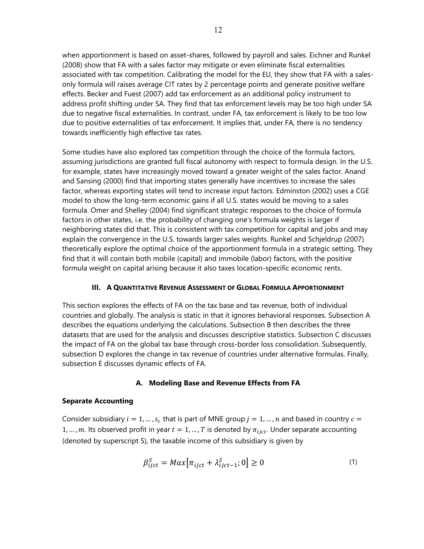when apportionment is based on asset-shares, followed by payroll and sales. Eichner and Runkel (2008) show that FA with a sales factor may mitigate or even eliminate fiscal externalities associated with tax competition. Calibrating the model for the EU, they show that FA with a salesonly formula will raises average CIT rates by 2 percentage points and generate positive welfare effects. Becker and Fuest (2007) add tax enforcement as an additional policy instrument to address profit shifting under SA. They find that tax enforcement levels may be too high under SA due to negative fiscal externalities. In contrast, under FA, tax enforcement is likely to be too low due to positive externalities of tax enforcement. It implies that, under FA, there is no tendency towards inefficiently high effective tax rates.

Some studies have also explored tax competition through the choice of the formula factors, assuming jurisdictions are granted full fiscal autonomy with respect to formula design. In the U.S. for example, states have increasingly moved toward a greater weight of the sales factor. Anand and Sansing (2000) find that importing states generally have incentives to increase the sales factor, whereas exporting states will tend to increase input factors. Edminston (2002) uses a CGE model to show the long-term economic gains if all U.S. states would be moving to a sales formula. Omer and Shelley (2004) find significant strategic responses to the choice of formula factors in other states, i.e. the probability of changing one's formula weights is larger if neighboring states did that. This is consistent with tax competition for capital and jobs and may explain the convergence in the U.S. towards larger sales weights. Runkel and Schjeldrup (2007) theoretically explore the optimal choice of the apportionment formula in a strategic setting. They find that it will contain both mobile (capital) and immobile (labor) factors, with the positive formula weight on capital arising because it also taxes location-specific economic rents.

#### **III. A QUANTITATIVE REVENUE ASSESSMENT OF GLOBAL FORMULA APPORTIONMENT**

This section explores the effects of FA on the tax base and tax revenue, both of individual countries and globally. The analysis is static in that it ignores behavioral responses. Subsection A describes the equations underlying the calculations. Subsection B then describes the three datasets that are used for the analysis and discusses descriptive statistics. Subsection C discusses the impact of FA on the global tax base through cross-border loss consolidation. Subsequently, subsection D explores the change in tax revenue of countries under alternative formulas. Finally, subsection E discusses dynamic effects of FA.

# **A. Modeling Base and Revenue Effects from FA**

#### **Separate Accounting**

Consider subsidiary  $i = 1, ..., s_c$  that is part of MNE group  $j = 1, ..., n$  and based in country  $c =$ 1, ..., m. Its observed profit in year  $t = 1, ..., T$  is denoted by  $\pi_{iict}$ . Under separate accounting (denoted by superscript S), the taxable income of this subsidiary is given by

$$
\beta_{ijct}^S = Max[\pi_{ijct} + \lambda_{ijct-1}^S; 0] \ge 0
$$
\n(1)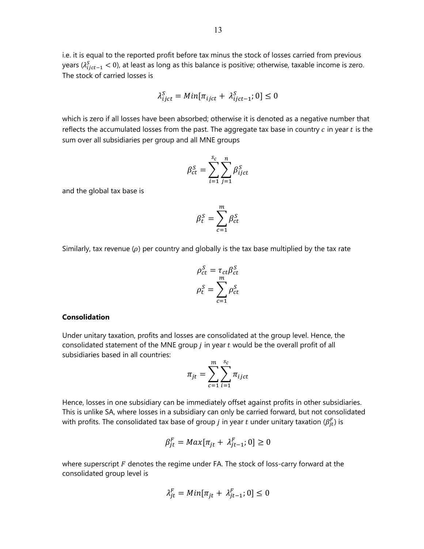i.e. it is equal to the reported profit before tax minus the stock of losses carried from previous years ( $\lambda^{\mathcal{S}}_{ijct-1} <$  0), at least as long as this balance is positive; otherwise, taxable income is zero. The stock of carried losses is

$$
\lambda_{ijct}^S = Min[\pi_{ijct} + \lambda_{ijct-1}^S; 0] \le 0
$$

which is zero if all losses have been absorbed; otherwise it is denoted as a negative number that reflects the accumulated losses from the past. The aggregate tax base in country  $c$  in year  $t$  is the sum over all subsidiaries per group and all MNE groups

$$
\beta_{ct}^S = \sum_{i=1}^{S_c} \sum_{j=1}^n \beta_{ijct}^S
$$

and the global tax base is

$$
\beta_t^{\mathcal{S}} = \sum_{c=1}^m \beta_{ct}^{\mathcal{S}}
$$

Similarly, tax revenue  $(\rho)$  per country and globally is the tax base multiplied by the tax rate

$$
\rho_{ct}^{S} = \tau_{ct} \beta_{ct}^{S}
$$

$$
\rho_{t}^{S} = \sum_{c=1}^{m} \rho_{ct}^{S}
$$

#### **Consolidation**

Under unitary taxation, profits and losses are consolidated at the group level. Hence, the consolidated statement of the MNE group  $j$  in year  $t$  would be the overall profit of all subsidiaries based in all countries:

$$
\pi_{jt} = \sum_{c=1}^{m} \sum_{i=1}^{s_c} \pi_{ijct}
$$

Hence, losses in one subsidiary can be immediately offset against profits in other subsidiaries. This is unlike SA, where losses in a subsidiary can only be carried forward, but not consolidated with profits. The consolidated tax base of group  $j$  in year  $t$  under unitary taxation  $(\beta_{jt}^F)$  is

$$
\beta_{jt}^F = Max[\pi_{jt} + \lambda_{jt-1}^F; 0] \ge 0
$$

where superscript  $F$  denotes the regime under FA. The stock of loss-carry forward at the consolidated group level is

$$
\lambda_{jt}^F = Min[\pi_{jt} + \lambda_{jt-1}^F; 0] \le 0
$$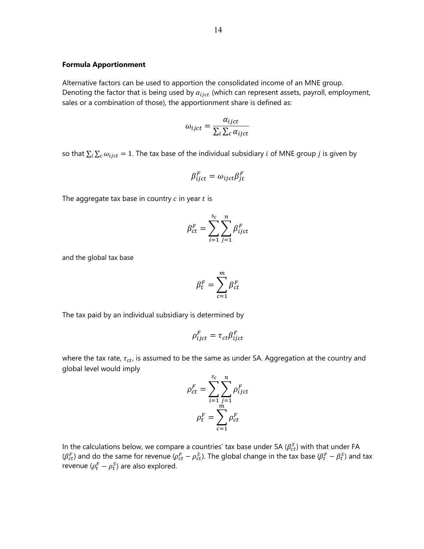# **Formula Apportionment**

Alternative factors can be used to apportion the consolidated income of an MNE group. Denoting the factor that is being used by  $\alpha_{ijct}$  (which can represent assets, payroll, employment, sales or a combination of those), the apportionment share is defined as:

$$
\omega_{ijct} = \frac{\alpha_{ijct}}{\sum_{i} \sum_{c} \alpha_{ijct}}
$$

so that  $\sum_i \sum_c \omega_{ijct} = 1$ . The tax base of the individual subsidiary *i* of MNE group *j* is given by

$$
\beta_{ijct}^F = \omega_{ijct} \beta_{jt}^F
$$

The aggregate tax base in country  $c$  in year  $t$  is

$$
\beta_{ct}^F = \sum_{i=1}^{s_c} \sum_{j=1}^n \beta_{ijct}^F
$$

and the global tax base

$$
\beta_t^F = \sum_{c=1}^m \beta_{ct}^F
$$

The tax paid by an individual subsidiary is determined by

$$
\rho_{ijct}^F = \tau_{ct} \beta_{ijct}^F
$$

where the tax rate,  $\tau_{ct}$ , is assumed to be the same as under SA. Aggregation at the country and global level would imply

$$
\rho_{ct}^F = \sum_{i=1}^{s_c} \sum_{j=1}^n \rho_{ijct}^F
$$

$$
\rho_t^F = \sum_{c=1}^m \rho_{ct}^F
$$

In the calculations below, we compare a countries' tax base under SA ( $\beta_{ct}^{S}$ ) with that under FA  $(\beta_{ct}^F)$  and do the same for revenue ( $\rho_{ct}^F-\rho_{ct}^S$ ). The global change in the tax base ( $\beta_t^F-\beta_t^S$ ) and tax revenue ( $\rho_t^F - \rho_t^S$ ) are also explored.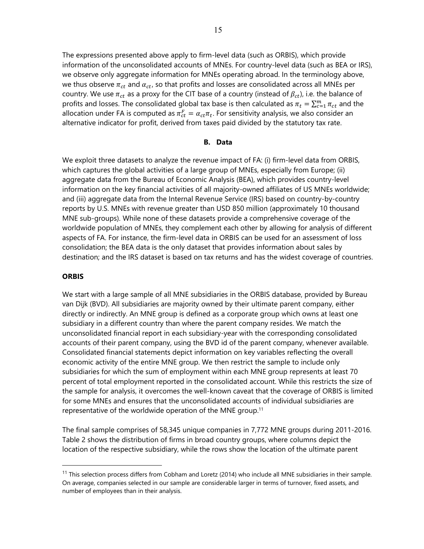The expressions presented above apply to firm-level data (such as ORBIS), which provide information of the unconsolidated accounts of MNEs. For country-level data (such as BEA or IRS), we observe only aggregate information for MNEs operating abroad. In the terminology above, we thus observe  $\pi_{ct}$  and  $\alpha_{ct}$ , so that profits and losses are consolidated across all MNEs per country. We use  $\pi_{ct}$  as a proxy for the CIT base of a country (instead of  $\beta_{ct}$ ), i.e. the balance of profits and losses. The consolidated global tax base is then calculated as  $\pi_t = \sum_{c=1}^m \pi_{ct}$  and the allocation under FA is computed as  $\pi_{ct}^F = \alpha_{ct} \pi_t$ . For sensitivity analysis, we also consider an alternative indicator for profit, derived from taxes paid divided by the statutory tax rate.

#### **B. Data**

We exploit three datasets to analyze the revenue impact of FA: (i) firm-level data from ORBIS, which captures the global activities of a large group of MNEs, especially from Europe; (ii) aggregate data from the Bureau of Economic Analysis (BEA), which provides country-level information on the key financial activities of all majority-owned affiliates of US MNEs worldwide; and (iii) aggregate data from the Internal Revenue Service (IRS) based on country-by-country reports by U.S. MNEs with revenue greater than USD 850 million (approximately 10 thousand MNE sub-groups). While none of these datasets provide a comprehensive coverage of the worldwide population of MNEs, they complement each other by allowing for analysis of different aspects of FA. For instance, the firm-level data in ORBIS can be used for an assessment of loss consolidation; the BEA data is the only dataset that provides information about sales by destination; and the IRS dataset is based on tax returns and has the widest coverage of countries.

#### **ORBIS**

 $\overline{a}$ 

We start with a large sample of all MNE subsidiaries in the ORBIS database, provided by Bureau van Dijk (BVD). All subsidiaries are majority owned by their ultimate parent company, either directly or indirectly. An MNE group is defined as a corporate group which owns at least one subsidiary in a different country than where the parent company resides. We match the unconsolidated financial report in each subsidiary-year with the corresponding consolidated accounts of their parent company, using the BVD id of the parent company, whenever available. Consolidated financial statements depict information on key variables reflecting the overall economic activity of the entire MNE group. We then restrict the sample to include only subsidiaries for which the sum of employment within each MNE group represents at least 70 percent of total employment reported in the consolidated account. While this restricts the size of the sample for analysis, it overcomes the well-known caveat that the coverage of ORBIS is limited for some MNEs and ensures that the unconsolidated accounts of individual subsidiaries are representative of the worldwide operation of the MNE group.<sup>11</sup>

The final sample comprises of 58,345 unique companies in 7,772 MNE groups during 2011-2016. Table 2 shows the distribution of firms in broad country groups, where columns depict the location of the respective subsidiary, while the rows show the location of the ultimate parent

 $11$  This selection process differs from Cobham and Loretz (2014) who include all MNE subsidiaries in their sample. On average, companies selected in our sample are considerable larger in terms of turnover, fixed assets, and number of employees than in their analysis.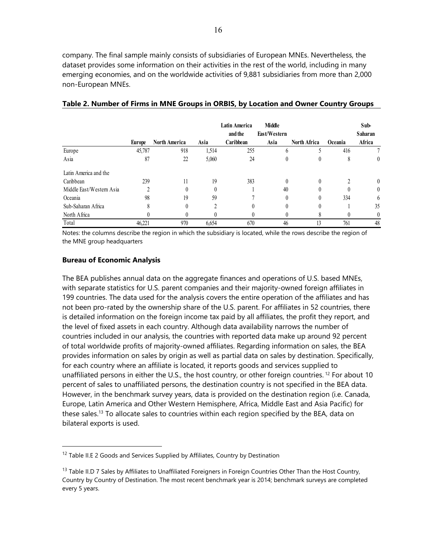company. The final sample mainly consists of subsidiaries of European MNEs. Nevertheless, the dataset provides some information on their activities in the rest of the world, including in many emerging economies, and on the worldwide activities of 9,881 subsidiaries from more than 2,000 non-European MNEs.

|                          |        |                      |                | Latin America | <b>Middle</b> |                     |              | Sub-             |
|--------------------------|--------|----------------------|----------------|---------------|---------------|---------------------|--------------|------------------|
|                          |        |                      |                | and the       | East/Western  |                     |              | Saharan          |
|                          | Europe | <b>North America</b> | Asia           | Caribbean     | Asia          | <b>North Africa</b> | Oceania      | Africa           |
| Europe                   | 45,787 | 918                  | 1,514          | 255           | h             |                     | 416          |                  |
| Asia                     | 87     | 22                   | 5,060          | 24            | 0             | 0                   | 8            | 0                |
| Latin America and the    |        |                      |                |               |               |                     |              |                  |
| Caribbean                | 239    | 11                   | 19             | 383           | $\theta$      | $\theta$            | <sup>1</sup> | $\theta$         |
| Middle East/Western Asia | C      | $\theta$             | $\theta$       |               | 40            | 0                   |              | $\boldsymbol{0}$ |
| Oceania                  | 98     | 19                   | 59             |               | $\theta$      | 0                   | 334          | 6                |
| Sub-Saharan Africa       | 8      |                      | $\mathfrak{D}$ | $\theta$      | $\theta$      | 0                   |              | 35               |
| North Africa             |        |                      |                |               |               | 8                   |              | 0                |
| Total                    | 46.221 | 970                  | 6,654          | 670           | 46            | 13                  | 761          | 48               |

#### **Table 2. Number of Firms in MNE Groups in ORBIS, by Location and Owner Country Groups**

Notes: the columns describe the region in which the subsidiary is located, while the rows describe the region of the MNE group headquarters

#### **Bureau of Economic Analysis**

 $\overline{a}$ 

The BEA publishes annual data on the aggregate finances and operations of U.S. based MNEs, with separate statistics for U.S. parent companies and their majority-owned foreign affiliates in 199 countries. The data used for the analysis covers the entire operation of the affiliates and has not been pro-rated by the ownership share of the U.S. parent. For affiliates in 52 countries, there is detailed information on the foreign income tax paid by all affiliates, the profit they report, and the level of fixed assets in each country. Although data availability narrows the number of countries included in our analysis, the countries with reported data make up around 92 percent of total worldwide profits of majority-owned affiliates. Regarding information on sales, the BEA provides information on sales by origin as well as partial data on sales by destination. Specifically, for each country where an affiliate is located, it reports goods and services supplied to unaffiliated persons in either the U.S., the host country, or other foreign countries.<sup>12</sup> For about 10 percent of sales to unaffiliated persons, the destination country is not specified in the BEA data. However, in the benchmark survey years, data is provided on the destination region (i.e. Canada, Europe, Latin America and Other Western Hemisphere, Africa, Middle East and Asia Pacific) for these sales.<sup>13</sup> To allocate sales to countries within each region specified by the BEA, data on bilateral exports is used.

 $12$  Table II.E 2 Goods and Services Supplied by Affiliates, Country by Destination

<sup>&</sup>lt;sup>13</sup> Table II.D 7 Sales by Affiliates to Unaffiliated Foreigners in Foreign Countries Other Than the Host Country, Country by Country of Destination. The most recent benchmark year is 2014; benchmark surveys are completed every 5 years.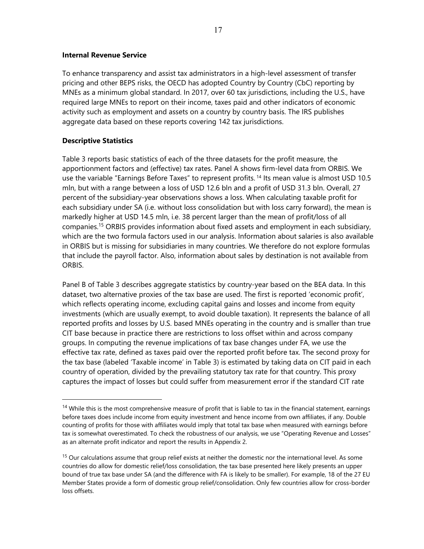#### **Internal Revenue Service**

To enhance transparency and assist tax administrators in a high-level assessment of transfer pricing and other BEPS risks, the OECD has adopted Country by Country (CbC) reporting by MNEs as a minimum global standard. In 2017, over 60 tax jurisdictions, including the U.S., have required large MNEs to report on their income, taxes paid and other indicators of economic activity such as employment and assets on a country by country basis. The IRS publishes aggregate data based on these reports covering 142 tax jurisdictions.

#### **Descriptive Statistics**

 $\overline{a}$ 

Table 3 reports basic statistics of each of the three datasets for the profit measure, the apportionment factors and (effective) tax rates. Panel A shows firm-level data from ORBIS. We use the variable "Earnings Before Taxes" to represent profits. 14 Its mean value is almost USD 10.5 mln, but with a range between a loss of USD 12.6 bln and a profit of USD 31.3 bln. Overall, 27 percent of the subsidiary-year observations shows a loss. When calculating taxable profit for each subsidiary under SA (i.e. without loss consolidation but with loss carry forward), the mean is markedly higher at USD 14.5 mln, i.e. 38 percent larger than the mean of profit/loss of all companies.15 ORBIS provides information about fixed assets and employment in each subsidiary, which are the two formula factors used in our analysis. Information about salaries is also available in ORBIS but is missing for subsidiaries in many countries. We therefore do not explore formulas that include the payroll factor. Also, information about sales by destination is not available from ORBIS.

Panel B of Table 3 describes aggregate statistics by country-year based on the BEA data. In this dataset, two alternative proxies of the tax base are used. The first is reported 'economic profit', which reflects operating income, excluding capital gains and losses and income from equity investments (which are usually exempt, to avoid double taxation). It represents the balance of all reported profits and losses by U.S. based MNEs operating in the country and is smaller than true CIT base because in practice there are restrictions to loss offset within and across company groups. In computing the revenue implications of tax base changes under FA, we use the effective tax rate, defined as taxes paid over the reported profit before tax. The second proxy for the tax base (labeled 'Taxable income' in Table 3) is estimated by taking data on CIT paid in each country of operation, divided by the prevailing statutory tax rate for that country. This proxy captures the impact of losses but could suffer from measurement error if the standard CIT rate

<sup>&</sup>lt;sup>14</sup> While this is the most comprehensive measure of profit that is liable to tax in the financial statement, earnings before taxes does include income from equity investment and hence income from own affiliates, if any. Double counting of profits for those with affiliates would imply that total tax base when measured with earnings before tax is somewhat overestimated. To check the robustness of our analysis, we use "Operating Revenue and Losses" as an alternate profit indicator and report the results in Appendix 2.

<sup>&</sup>lt;sup>15</sup> Our calculations assume that group relief exists at neither the domestic nor the international level. As some countries do allow for domestic relief/loss consolidation, the tax base presented here likely presents an upper bound of true tax base under SA (and the difference with FA is likely to be smaller). For example, 18 of the 27 EU Member States provide a form of domestic group relief/consolidation. Only few countries allow for cross-border loss offsets.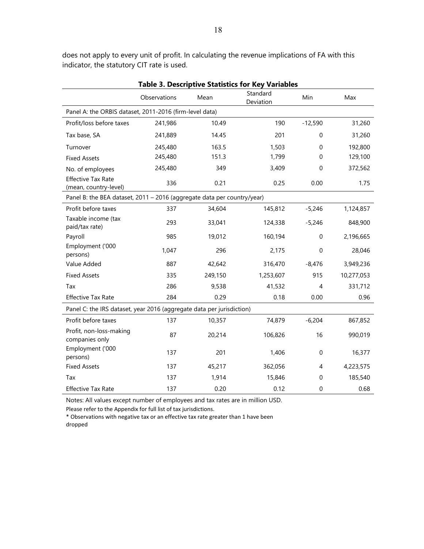|                                                                         | <b>Table 3. Descriptive Statistics for Key Variables</b> |         |                       |             |            |  |  |  |  |  |  |
|-------------------------------------------------------------------------|----------------------------------------------------------|---------|-----------------------|-------------|------------|--|--|--|--|--|--|
|                                                                         | Observations                                             | Mean    | Standard<br>Deviation | Min         | Max        |  |  |  |  |  |  |
| Panel A: the ORBIS dataset, 2011-2016 (firm-level data)                 |                                                          |         |                       |             |            |  |  |  |  |  |  |
| Profit/loss before taxes                                                | 241,986                                                  | 10.49   | 190                   | $-12,590$   | 31,260     |  |  |  |  |  |  |
| Tax base, SA                                                            | 241,889                                                  | 14.45   | 201                   | 0           | 31,260     |  |  |  |  |  |  |
| Turnover                                                                | 245,480                                                  | 163.5   | 1,503                 | 0           | 192,800    |  |  |  |  |  |  |
| <b>Fixed Assets</b>                                                     | 245,480                                                  | 151.3   | 1,799                 | 0           | 129,100    |  |  |  |  |  |  |
| No. of employees                                                        | 245,480                                                  | 349     | 3,409                 | 0           | 372,562    |  |  |  |  |  |  |
| <b>Effective Tax Rate</b><br>(mean, country-level)                      | 336                                                      | 0.21    | 0.25                  | 0.00        | 1.75       |  |  |  |  |  |  |
| Panel B: the BEA dataset, 2011 - 2016 (aggregate data per country/year) |                                                          |         |                       |             |            |  |  |  |  |  |  |
| Profit before taxes                                                     | 337                                                      | 34,604  | 145,812               | $-5,246$    | 1,124,857  |  |  |  |  |  |  |
| Taxable income (tax<br>paid/tax rate)                                   | 293                                                      | 33,041  | 124,338               | $-5,246$    | 848,900    |  |  |  |  |  |  |
| Payroll                                                                 | 985                                                      | 19,012  | 160,194               | $\mathbf 0$ | 2,196,665  |  |  |  |  |  |  |
| Employment ('000<br>persons)                                            | 1,047                                                    | 296     | 2,175                 | $\Omega$    | 28,046     |  |  |  |  |  |  |
| Value Added                                                             | 887                                                      | 42,642  | 316,470               | $-8,476$    | 3,949,236  |  |  |  |  |  |  |
| <b>Fixed Assets</b>                                                     | 335                                                      | 249,150 | 1,253,607             | 915         | 10,277,053 |  |  |  |  |  |  |
| Tax                                                                     | 286                                                      | 9,538   | 41,532                | 4           | 331,712    |  |  |  |  |  |  |
| <b>Effective Tax Rate</b>                                               | 284                                                      | 0.29    | 0.18                  | 0.00        | 0.96       |  |  |  |  |  |  |
| Panel C: the IRS dataset, year 2016 (aggregate data per jurisdiction)   |                                                          |         |                       |             |            |  |  |  |  |  |  |
| Profit before taxes                                                     | 137                                                      | 10,357  | 74,879                | $-6,204$    | 867,852    |  |  |  |  |  |  |
| Profit, non-loss-making<br>companies only                               | 87                                                       | 20,214  | 106,826               | 16          | 990,019    |  |  |  |  |  |  |
| Employment ('000<br>persons)                                            | 137                                                      | 201     | 1,406                 | $\mathbf 0$ | 16,377     |  |  |  |  |  |  |
| <b>Fixed Assets</b>                                                     | 137                                                      | 45,217  | 362,056               | 4           | 4,223,575  |  |  |  |  |  |  |
| Tax                                                                     | 137                                                      | 1,914   | 15,846                | 0           | 185,540    |  |  |  |  |  |  |
| <b>Effective Tax Rate</b>                                               | 137                                                      | 0.20    | 0.12                  | 0           | 0.68       |  |  |  |  |  |  |

does not apply to every unit of profit. In calculating the revenue implications of FA with this indicator, the statutory CIT rate is used.

Notes: All values except number of employees and tax rates are in million USD.

Please refer to the Appendix for full list of tax jurisdictions.

\* Observations with negative tax or an effective tax rate greater than 1 have been dropped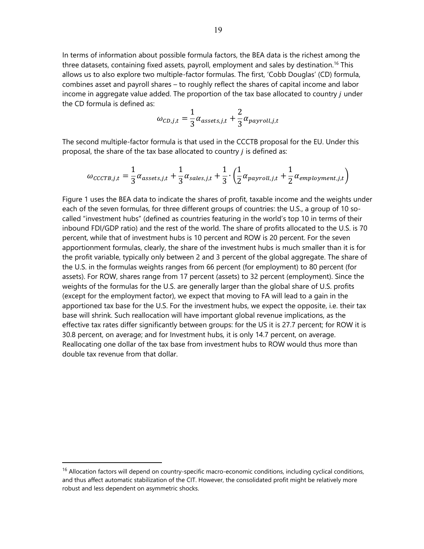In terms of information about possible formula factors, the BEA data is the richest among the three datasets, containing fixed assets, payroll, employment and sales by destination.<sup>16</sup> This allows us to also explore two multiple-factor formulas. The first, 'Cobb Douglas' (CD) formula, combines asset and payroll shares – to roughly reflect the shares of capital income and labor income in aggregate value added. The proportion of the tax base allocated to country  $j$  under the CD formula is defined as:

$$
\omega_{CD,j,t} = \frac{1}{3} \alpha_{assets,j,t} + \frac{2}{3} \alpha_{payroll,j,t}
$$

The second multiple-factor formula is that used in the CCCTB proposal for the EU. Under this proposal, the share of the tax base allocated to country  $j$  is defined as:

$$
\omega_{\text{CCTB},j,t} = \frac{1}{3}\alpha_{\text{assets},j,t} + \frac{1}{3}\alpha_{\text{sales},j,t} + \frac{1}{3} \cdot \left(\frac{1}{2}\alpha_{\text{payroll},j,t} + \frac{1}{2}\alpha_{\text{employment},j,t}\right)
$$

Figure 1 uses the BEA data to indicate the shares of profit, taxable income and the weights under each of the seven formulas, for three different groups of countries: the U.S., a group of 10 socalled "investment hubs" (defined as countries featuring in the world's top 10 in terms of their inbound FDI/GDP ratio) and the rest of the world. The share of profits allocated to the U.S. is 70 percent, while that of investment hubs is 10 percent and ROW is 20 percent. For the seven apportionment formulas, clearly, the share of the investment hubs is much smaller than it is for the profit variable, typically only between 2 and 3 percent of the global aggregate. The share of the U.S. in the formulas weights ranges from 66 percent (for employment) to 80 percent (for assets). For ROW, shares range from 17 percent (assets) to 32 percent (employment). Since the weights of the formulas for the U.S. are generally larger than the global share of U.S. profits (except for the employment factor), we expect that moving to FA will lead to a gain in the apportioned tax base for the U.S. For the investment hubs, we expect the opposite, i.e. their tax base will shrink. Such reallocation will have important global revenue implications, as the effective tax rates differ significantly between groups: for the US it is 27.7 percent; for ROW it is 30.8 percent, on average; and for Investment hubs, it is only 14.7 percent, on average. Reallocating one dollar of the tax base from investment hubs to ROW would thus more than double tax revenue from that dollar.

 $16$  Allocation factors will depend on country-specific macro-economic conditions, including cyclical conditions, and thus affect automatic stabilization of the CIT. However, the consolidated profit might be relatively more robust and less dependent on asymmetric shocks.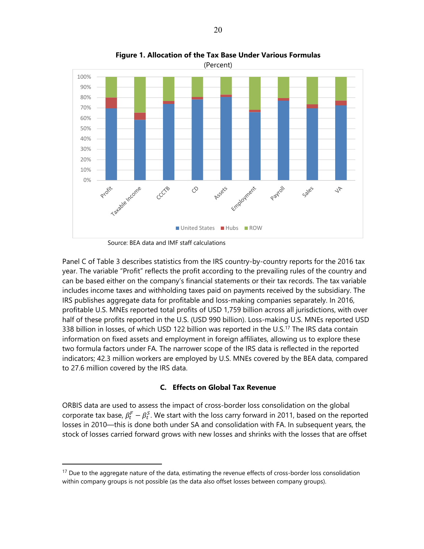

**Figure 1. Allocation of the Tax Base Under Various Formulas** 

Source: BEA data and IMF staff calculations

 $\overline{a}$ 

Panel C of Table 3 describes statistics from the IRS country-by-country reports for the 2016 tax year. The variable "Profit" reflects the profit according to the prevailing rules of the country and can be based either on the company's financial statements or their tax records. The tax variable includes income taxes and withholding taxes paid on payments received by the subsidiary. The IRS publishes aggregate data for profitable and loss-making companies separately. In 2016, profitable U.S. MNEs reported total profits of USD 1,759 billion across all jurisdictions, with over half of these profits reported in the U.S. (USD 990 billion). Loss-making U.S. MNEs reported USD 338 billion in losses, of which USD 122 billion was reported in the U.S.<sup>17</sup> The IRS data contain information on fixed assets and employment in foreign affiliates, allowing us to explore these two formula factors under FA. The narrower scope of the IRS data is reflected in the reported indicators; 42.3 million workers are employed by U.S. MNEs covered by the BEA data, compared to 27.6 million covered by the IRS data.

#### **C. Effects on Global Tax Revenue**

ORBIS data are used to assess the impact of cross-border loss consolidation on the global corporate tax base,  $\beta_t^F - \beta_t^S$ . We start with the loss carry forward in 2011, based on the reported losses in 2010—this is done both under SA and consolidation with FA. In subsequent years, the stock of losses carried forward grows with new losses and shrinks with the losses that are offset

 $17$  Due to the aggregate nature of the data, estimating the revenue effects of cross-border loss consolidation within company groups is not possible (as the data also offset losses between company groups).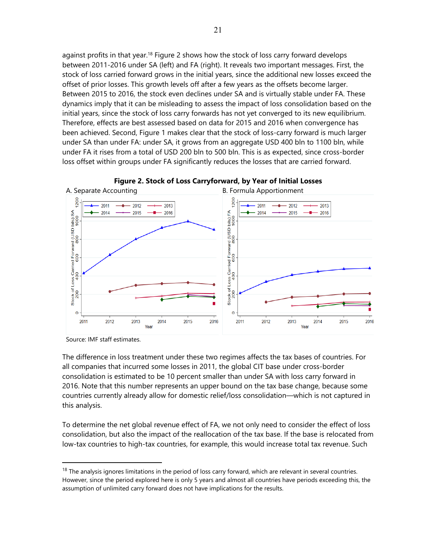against profits in that year.<sup>18</sup> Figure 2 shows how the stock of loss carry forward develops between 2011-2016 under SA (left) and FA (right). It reveals two important messages. First, the stock of loss carried forward grows in the initial years, since the additional new losses exceed the offset of prior losses. This growth levels off after a few years as the offsets become larger. Between 2015 to 2016, the stock even declines under SA and is virtually stable under FA. These dynamics imply that it can be misleading to assess the impact of loss consolidation based on the initial years, since the stock of loss carry forwards has not yet converged to its new equilibrium. Therefore, effects are best assessed based on data for 2015 and 2016 when convergence has been achieved. Second, Figure 1 makes clear that the stock of loss-carry forward is much larger under SA than under FA: under SA, it grows from an aggregate USD 400 bln to 1100 bln, while under FA it rises from a total of USD 200 bln to 500 bln. This is as expected, since cross-border loss offset within groups under FA significantly reduces the losses that are carried forward.





 $\overline{a}$ 

The difference in loss treatment under these two regimes affects the tax bases of countries. For all companies that incurred some losses in 2011, the global CIT base under cross-border consolidation is estimated to be 10 percent smaller than under SA with loss carry forward in 2016. Note that this number represents an upper bound on the tax base change, because some countries currently already allow for domestic relief/loss consolidation—which is not captured in this analysis.

To determine the net global revenue effect of FA, we not only need to consider the effect of loss consolidation, but also the impact of the reallocation of the tax base. If the base is relocated from low-tax countries to high-tax countries, for example, this would increase total tax revenue. Such

Source: IMF staff estimates.

 $18$  The analysis ignores limitations in the period of loss carry forward, which are relevant in several countries. However, since the period explored here is only 5 years and almost all countries have periods exceeding this, the assumption of unlimited carry forward does not have implications for the results.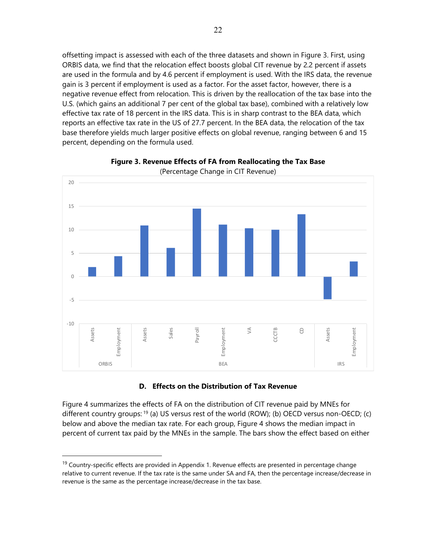offsetting impact is assessed with each of the three datasets and shown in Figure 3. First, using ORBIS data, we find that the relocation effect boosts global CIT revenue by 2.2 percent if assets are used in the formula and by 4.6 percent if employment is used. With the IRS data, the revenue gain is 3 percent if employment is used as a factor. For the asset factor, however, there is a negative revenue effect from relocation. This is driven by the reallocation of the tax base into the U.S. (which gains an additional 7 per cent of the global tax base), combined with a relatively low effective tax rate of 18 percent in the IRS data. This is in sharp contrast to the BEA data, which reports an effective tax rate in the US of 27.7 percent. In the BEA data, the relocation of the tax base therefore yields much larger positive effects on global revenue, ranging between 6 and 15 percent, depending on the formula used.



**Figure 3. Revenue Effects of FA from Reallocating the Tax Base** 

#### **D. Effects on the Distribution of Tax Revenue**

Figure 4 summarizes the effects of FA on the distribution of CIT revenue paid by MNEs for different country groups: <sup>19</sup> (a) US versus rest of the world (ROW); (b) OECD versus non-OECD; (c) below and above the median tax rate. For each group, Figure 4 shows the median impact in percent of current tax paid by the MNEs in the sample. The bars show the effect based on either

 $19$  Country-specific effects are provided in Appendix 1. Revenue effects are presented in percentage change relative to current revenue. If the tax rate is the same under SA and FA, then the percentage increase/decrease in revenue is the same as the percentage increase/decrease in the tax base.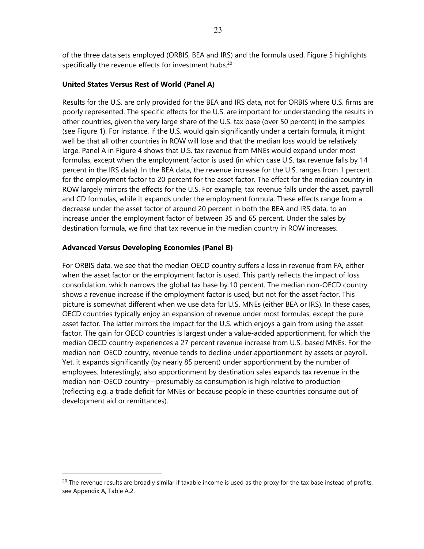of the three data sets employed (ORBIS, BEA and IRS) and the formula used. Figure 5 highlights specifically the revenue effects for investment hubs.<sup>20</sup>

#### **United States Versus Rest of World (Panel A)**

Results for the U.S. are only provided for the BEA and IRS data, not for ORBIS where U.S. firms are poorly represented. The specific effects for the U.S. are important for understanding the results in other countries, given the very large share of the U.S. tax base (over 50 percent) in the samples (see Figure 1). For instance, if the U.S. would gain significantly under a certain formula, it might well be that all other countries in ROW will lose and that the median loss would be relatively large. Panel A in Figure 4 shows that U.S. tax revenue from MNEs would expand under most formulas, except when the employment factor is used (in which case U.S. tax revenue falls by 14 percent in the IRS data). In the BEA data, the revenue increase for the U.S. ranges from 1 percent for the employment factor to 20 percent for the asset factor. The effect for the median country in ROW largely mirrors the effects for the U.S. For example, tax revenue falls under the asset, payroll and CD formulas, while it expands under the employment formula. These effects range from a decrease under the asset factor of around 20 percent in both the BEA and IRS data, to an increase under the employment factor of between 35 and 65 percent. Under the sales by destination formula, we find that tax revenue in the median country in ROW increases.

### **Advanced Versus Developing Economies (Panel B)**

 $\overline{a}$ 

For ORBIS data, we see that the median OECD country suffers a loss in revenue from FA, either when the asset factor or the employment factor is used. This partly reflects the impact of loss consolidation, which narrows the global tax base by 10 percent. The median non-OECD country shows a revenue increase if the employment factor is used, but not for the asset factor. This picture is somewhat different when we use data for U.S. MNEs (either BEA or IRS). In these cases, OECD countries typically enjoy an expansion of revenue under most formulas, except the pure asset factor. The latter mirrors the impact for the U.S. which enjoys a gain from using the asset factor. The gain for OECD countries is largest under a value-added apportionment, for which the median OECD country experiences a 27 percent revenue increase from U.S.-based MNEs. For the median non-OECD country, revenue tends to decline under apportionment by assets or payroll. Yet, it expands significantly (by nearly 85 percent) under apportionment by the number of employees. Interestingly, also apportionment by destination sales expands tax revenue in the median non-OECD country—presumably as consumption is high relative to production (reflecting e.g. a trade deficit for MNEs or because people in these countries consume out of development aid or remittances).

<sup>&</sup>lt;sup>20</sup> The revenue results are broadly similar if taxable income is used as the proxy for the tax base instead of profits, see Appendix A, Table A.2.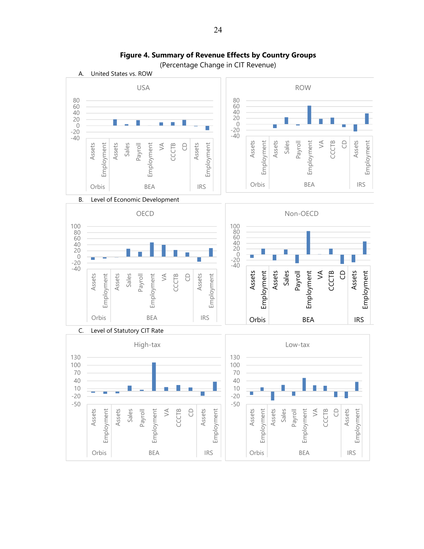

**Figure 4. Summary of Revenue Effects by Country Groups** 

24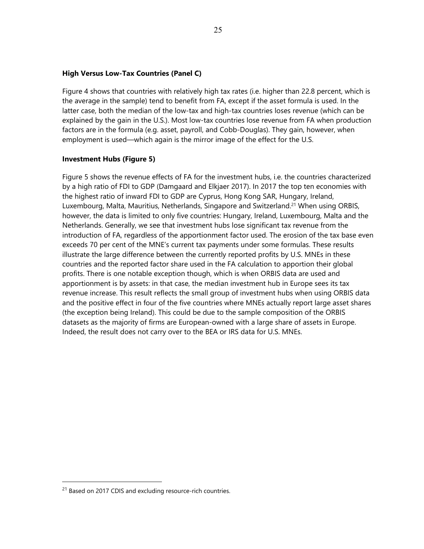#### **High Versus Low-Tax Countries (Panel C)**

Figure 4 shows that countries with relatively high tax rates (i.e. higher than 22.8 percent, which is the average in the sample) tend to benefit from FA, except if the asset formula is used. In the latter case, both the median of the low-tax and high-tax countries loses revenue (which can be explained by the gain in the U.S.). Most low-tax countries lose revenue from FA when production factors are in the formula (e.g. asset, payroll, and Cobb-Douglas). They gain, however, when employment is used—which again is the mirror image of the effect for the U.S.

#### **Investment Hubs (Figure 5)**

Figure 5 shows the revenue effects of FA for the investment hubs, i.e. the countries characterized by a high ratio of FDI to GDP (Damgaard and Elkjaer 2017). In 2017 the top ten economies with the highest ratio of inward FDI to GDP are Cyprus, Hong Kong SAR, Hungary, Ireland, Luxembourg, Malta, Mauritius, Netherlands, Singapore and Switzerland.<sup>21</sup> When using ORBIS, however, the data is limited to only five countries: Hungary, Ireland, Luxembourg, Malta and the Netherlands. Generally, we see that investment hubs lose significant tax revenue from the introduction of FA, regardless of the apportionment factor used. The erosion of the tax base even exceeds 70 per cent of the MNE's current tax payments under some formulas. These results illustrate the large difference between the currently reported profits by U.S. MNEs in these countries and the reported factor share used in the FA calculation to apportion their global profits. There is one notable exception though, which is when ORBIS data are used and apportionment is by assets: in that case, the median investment hub in Europe sees its tax revenue increase. This result reflects the small group of investment hubs when using ORBIS data and the positive effect in four of the five countries where MNEs actually report large asset shares (the exception being Ireland). This could be due to the sample composition of the ORBIS datasets as the majority of firms are European-owned with a large share of assets in Europe. Indeed, the result does not carry over to the BEA or IRS data for U.S. MNEs.

<sup>&</sup>lt;sup>21</sup> Based on 2017 CDIS and excluding resource-rich countries.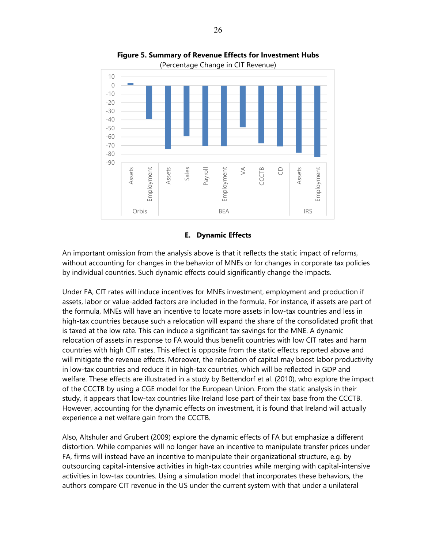

**Figure 5. Summary of Revenue Effects for Investment Hubs** 

#### **E. Dynamic Effects**

An important omission from the analysis above is that it reflects the static impact of reforms, without accounting for changes in the behavior of MNEs or for changes in corporate tax policies by individual countries. Such dynamic effects could significantly change the impacts.

Under FA, CIT rates will induce incentives for MNEs investment, employment and production if assets, labor or value-added factors are included in the formula. For instance, if assets are part of the formula, MNEs will have an incentive to locate more assets in low-tax countries and less in high-tax countries because such a relocation will expand the share of the consolidated profit that is taxed at the low rate. This can induce a significant tax savings for the MNE. A dynamic relocation of assets in response to FA would thus benefit countries with low CIT rates and harm countries with high CIT rates. This effect is opposite from the static effects reported above and will mitigate the revenue effects. Moreover, the relocation of capital may boost labor productivity in low-tax countries and reduce it in high-tax countries, which will be reflected in GDP and welfare. These effects are illustrated in a study by Bettendorf et al. (2010), who explore the impact of the CCCTB by using a CGE model for the European Union. From the static analysis in their study, it appears that low-tax countries like Ireland lose part of their tax base from the CCCTB. However, accounting for the dynamic effects on investment, it is found that Ireland will actually experience a net welfare gain from the CCCTB.

Also, Altshuler and Grubert (2009) explore the dynamic effects of FA but emphasize a different distortion. While companies will no longer have an incentive to manipulate transfer prices under FA, firms will instead have an incentive to manipulate their organizational structure, e.g. by outsourcing capital-intensive activities in high-tax countries while merging with capital-intensive activities in low-tax countries. Using a simulation model that incorporates these behaviors, the authors compare CIT revenue in the US under the current system with that under a unilateral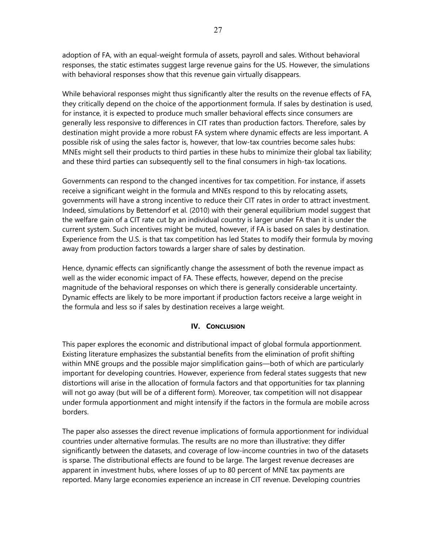adoption of FA, with an equal-weight formula of assets, payroll and sales. Without behavioral responses, the static estimates suggest large revenue gains for the US. However, the simulations with behavioral responses show that this revenue gain virtually disappears.

While behavioral responses might thus significantly alter the results on the revenue effects of FA, they critically depend on the choice of the apportionment formula. If sales by destination is used, for instance, it is expected to produce much smaller behavioral effects since consumers are generally less responsive to differences in CIT rates than production factors. Therefore, sales by destination might provide a more robust FA system where dynamic effects are less important. A possible risk of using the sales factor is, however, that low-tax countries become sales hubs: MNEs might sell their products to third parties in these hubs to minimize their global tax liability; and these third parties can subsequently sell to the final consumers in high-tax locations.

Governments can respond to the changed incentives for tax competition. For instance, if assets receive a significant weight in the formula and MNEs respond to this by relocating assets, governments will have a strong incentive to reduce their CIT rates in order to attract investment. Indeed, simulations by Bettendorf et al. (2010) with their general equilibrium model suggest that the welfare gain of a CIT rate cut by an individual country is larger under FA than it is under the current system. Such incentives might be muted, however, if FA is based on sales by destination. Experience from the U.S. is that tax competition has led States to modify their formula by moving away from production factors towards a larger share of sales by destination.

Hence, dynamic effects can significantly change the assessment of both the revenue impact as well as the wider economic impact of FA. These effects, however, depend on the precise magnitude of the behavioral responses on which there is generally considerable uncertainty. Dynamic effects are likely to be more important if production factors receive a large weight in the formula and less so if sales by destination receives a large weight.

# **IV.** CONCLUSION

This paper explores the economic and distributional impact of global formula apportionment. Existing literature emphasizes the substantial benefits from the elimination of profit shifting within MNE groups and the possible major simplification gains—both of which are particularly important for developing countries. However, experience from federal states suggests that new distortions will arise in the allocation of formula factors and that opportunities for tax planning will not go away (but will be of a different form). Moreover, tax competition will not disappear under formula apportionment and might intensify if the factors in the formula are mobile across borders.

The paper also assesses the direct revenue implications of formula apportionment for individual countries under alternative formulas. The results are no more than illustrative: they differ significantly between the datasets, and coverage of low-income countries in two of the datasets is sparse. The distributional effects are found to be large. The largest revenue decreases are apparent in investment hubs, where losses of up to 80 percent of MNE tax payments are reported. Many large economies experience an increase in CIT revenue. Developing countries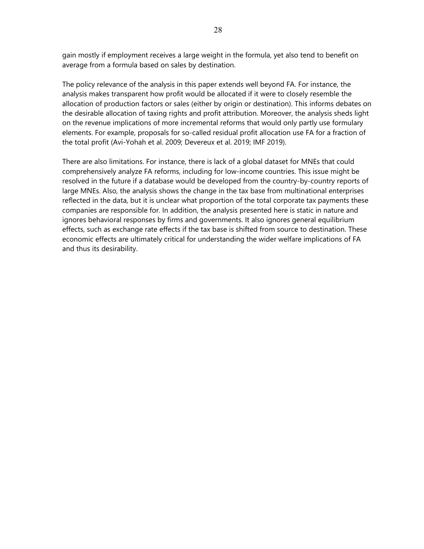gain mostly if employment receives a large weight in the formula, yet also tend to benefit on average from a formula based on sales by destination.

The policy relevance of the analysis in this paper extends well beyond FA. For instance, the analysis makes transparent how profit would be allocated if it were to closely resemble the allocation of production factors or sales (either by origin or destination). This informs debates on the desirable allocation of taxing rights and profit attribution. Moreover, the analysis sheds light on the revenue implications of more incremental reforms that would only partly use formulary elements. For example, proposals for so-called residual profit allocation use FA for a fraction of the total profit (Avi-Yohah et al. 2009; Devereux et al. 2019; IMF 2019).

There are also limitations. For instance, there is lack of a global dataset for MNEs that could comprehensively analyze FA reforms, including for low-income countries. This issue might be resolved in the future if a database would be developed from the country-by-country reports of large MNEs. Also, the analysis shows the change in the tax base from multinational enterprises reflected in the data, but it is unclear what proportion of the total corporate tax payments these companies are responsible for. In addition, the analysis presented here is static in nature and ignores behavioral responses by firms and governments. It also ignores general equilibrium effects, such as exchange rate effects if the tax base is shifted from source to destination. These economic effects are ultimately critical for understanding the wider welfare implications of FA and thus its desirability.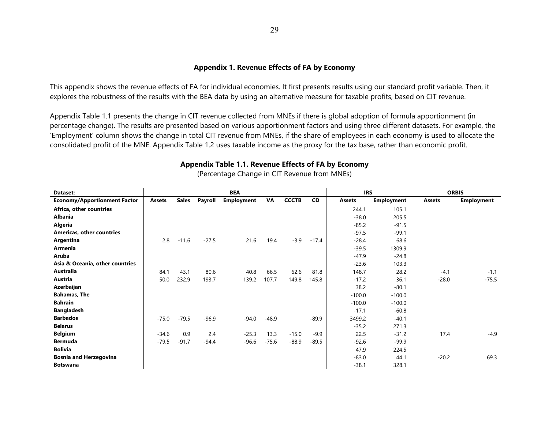#### **Appendix 1. Revenue Effects of FA by Economy**

This appendix shows the revenue effects of FA for individual economies. It first presents results using our standard profit variable. Then, it explores the robustness of the results with the BEA data by using an alternative measure for taxable profits, based on CIT revenue.

Appendix Table 1.1 presents the change in CIT revenue collected from MNEs if there is global adoption of formula apportionment (in percentage change). The results are presented based on various apportionment factors and using three different datasets. For example, the 'Employment' column shows the change in total CIT revenue from MNEs, if the share of employees in each economy is used to allocate the consolidated profit of the MNE. Appendix Table 1.2 uses taxable income as the proxy for the tax base, rather than economic profit.

| Dataset:                            |               |              |         | <b>BEA</b>        |         |              |           | <b>IRS</b>    |                   | <b>ORBIS</b>  |                   |
|-------------------------------------|---------------|--------------|---------|-------------------|---------|--------------|-----------|---------------|-------------------|---------------|-------------------|
| <b>Economy/Apportionment Factor</b> | <b>Assets</b> | <b>Sales</b> | Payroll | <b>Employment</b> | VA      | <b>CCCTB</b> | <b>CD</b> | <b>Assets</b> | <b>Employment</b> | <b>Assets</b> | <b>Employment</b> |
| Africa, other countries             |               |              |         |                   |         |              |           | 244.1         | 105.1             |               |                   |
| Albania                             |               |              |         |                   |         |              |           | $-38.0$       | 205.5             |               |                   |
| Algeria                             |               |              |         |                   |         |              |           | $-85.2$       | $-91.5$           |               |                   |
| <b>Americas, other countries</b>    |               |              |         |                   |         |              |           | $-97.5$       | $-99.1$           |               |                   |
| Argentina                           | 2.8           | $-11.6$      | $-27.5$ | 21.6              | 19.4    | $-3.9$       | $-17.4$   | $-28.4$       | 68.6              |               |                   |
| Armenia                             |               |              |         |                   |         |              |           | $-39.5$       | 1309.9            |               |                   |
| Aruba                               |               |              |         |                   |         |              |           | $-47.9$       | $-24.8$           |               |                   |
| Asia & Oceania, other countries     |               |              |         |                   |         |              |           | $-23.6$       | 103.3             |               |                   |
| Australia                           | 84.1          | 43.1         | 80.6    | 40.8              | 66.5    | 62.6         | 81.8      | 148.7         | 28.2              | $-4.1$        | $-1.1$            |
| Austria                             | 50.0          | 232.9        | 193.7   | 139.2             | 107.7   | 149.8        | 145.8     | $-17.2$       | 36.1              | $-28.0$       | $-75.5$           |
| Azerbaijan                          |               |              |         |                   |         |              |           | 38.2          | $-80.1$           |               |                   |
| <b>Bahamas, The</b>                 |               |              |         |                   |         |              |           | $-100.0$      | $-100.0$          |               |                   |
| <b>Bahrain</b>                      |               |              |         |                   |         |              |           | $-100.0$      | $-100.0$          |               |                   |
| <b>Bangladesh</b>                   |               |              |         |                   |         |              |           | $-17.1$       | $-60.8$           |               |                   |
| <b>Barbados</b>                     | $-75.0$       | $-79.5$      | $-96.9$ | $-94.0$           | $-48.9$ |              | $-89.9$   | 3499.2        | $-40.1$           |               |                   |
| <b>Belarus</b>                      |               |              |         |                   |         |              |           | $-35.2$       | 271.3             |               |                   |
| <b>Belgium</b>                      | $-34.6$       | 0.9          | 2.4     | $-25.3$           | 13.3    | $-15.0$      | $-9.9$    | 22.5          | $-31.2$           | 17.4          | $-4.9$            |
| <b>Bermuda</b>                      | $-79.5$       | $-91.7$      | $-94.4$ | $-96.6$           | $-75.6$ | $-88.9$      | $-89.5$   | $-92.6$       | $-99.9$           |               |                   |
| <b>Bolivia</b>                      |               |              |         |                   |         |              |           | 47.9          | 224.5             |               |                   |
| <b>Bosnia and Herzegovina</b>       |               |              |         |                   |         |              |           | $-83.0$       | 44.1              | $-20.2$       | 69.3              |
| <b>Botswana</b>                     |               |              |         |                   |         |              |           | $-38.1$       | 328.1             |               |                   |

# **Appendix Table 1.1. Revenue Effects of FA by Economy**

(Percentage Change in CIT Revenue from MNEs)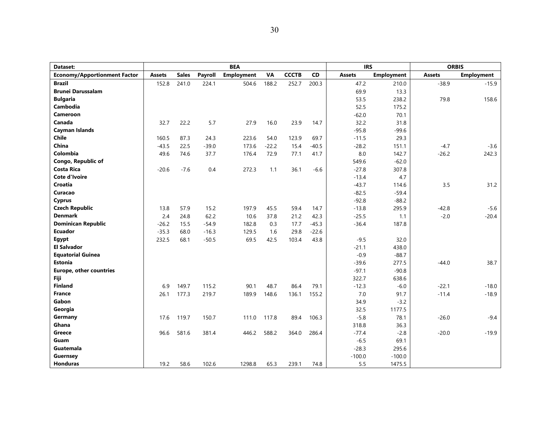| Dataset:                            |               |              |         | <b>BEA</b>        |           |              |           | <b>IRS</b>    |                   | <b>ORBIS</b>  |                   |
|-------------------------------------|---------------|--------------|---------|-------------------|-----------|--------------|-----------|---------------|-------------------|---------------|-------------------|
| <b>Economy/Apportionment Factor</b> | <b>Assets</b> | <b>Sales</b> | Payroll | <b>Employment</b> | <b>VA</b> | <b>CCCTB</b> | <b>CD</b> | <b>Assets</b> | <b>Employment</b> | <b>Assets</b> | <b>Employment</b> |
| <b>Brazil</b>                       | 152.8         | 241.0        | 224.1   | 504.6             | 188.2     | 252.7        | 200.3     | 47.2          | 210.0             | $-38.9$       | $-15.9$           |
| <b>Brunei Darussalam</b>            |               |              |         |                   |           |              |           | 69.9          | 13.3              |               |                   |
| <b>Bulgaria</b>                     |               |              |         |                   |           |              |           | 53.5          | 238.2             | 79.8          | 158.6             |
| <b>Cambodia</b>                     |               |              |         |                   |           |              |           | 52.5          | 175.2             |               |                   |
| Cameroon                            |               |              |         |                   |           |              |           | $-62.0$       | 70.1              |               |                   |
| Canada                              | 32.7          | 22.2         | 5.7     | 27.9              | 16.0      | 23.9         | 14.7      | 32.2          | 31.8              |               |                   |
| <b>Cayman Islands</b>               |               |              |         |                   |           |              |           | $-95.8$       | $-99.6$           |               |                   |
| <b>Chile</b>                        | 160.5         | 87.3         | 24.3    | 223.6             | 54.0      | 123.9        | 69.7      | $-11.5$       | 29.3              |               |                   |
| China                               | $-43.5$       | 22.5         | $-39.0$ | 173.6             | $-22.2$   | 15.4         | $-40.5$   | $-28.2$       | 151.1             | $-4.7$        | $-3.6$            |
| Colombia                            | 49.6          | 74.6         | 37.7    | 176.4             | 72.9      | 77.1         | 41.7      | 8.0           | 142.7             | $-26.2$       | 242.3             |
| Congo, Republic of                  |               |              |         |                   |           |              |           | 549.6         | $-62.0$           |               |                   |
| <b>Costa Rica</b>                   | $-20.6$       | $-7.6$       | 0.4     | 272.3             | 1.1       | 36.1         | $-6.6$    | $-27.8$       | 307.8             |               |                   |
| Cote d'Ivoire                       |               |              |         |                   |           |              |           | $-13.4$       | 4.7               |               |                   |
| <b>Croatia</b>                      |               |              |         |                   |           |              |           | $-43.7$       | 114.6             | 3.5           | 31.2              |
| Curacao                             |               |              |         |                   |           |              |           | $-82.5$       | $-59.4$           |               |                   |
| <b>Cyprus</b>                       |               |              |         |                   |           |              |           | $-92.8$       | $-88.2$           |               |                   |
| <b>Czech Republic</b>               | 13.8          | 57.9         | 15.2    | 197.9             | 45.5      | 59.4         | 14.7      | $-13.8$       | 295.9             | $-42.8$       | $-5.6$            |
| <b>Denmark</b>                      | 2.4           | 24.8         | 62.2    | 10.6              | 37.8      | 21.2         | 42.3      | $-25.5$       | 1.1               | $-2.0$        | $-20.4$           |
| <b>Dominican Republic</b>           | $-26.2$       | 15.5         | $-54.9$ | 182.8             | 0.3       | 17.7         | $-45.3$   | $-36.4$       | 187.8             |               |                   |
| <b>Ecuador</b>                      | $-35.3$       | 68.0         | $-16.3$ | 129.5             | 1.6       | 29.8         | $-22.6$   |               |                   |               |                   |
| Egypt                               | 232.5         | 68.1         | $-50.5$ | 69.5              | 42.5      | 103.4        | 43.8      | $-9.5$        | 32.0              |               |                   |
| <b>El Salvador</b>                  |               |              |         |                   |           |              |           | $-21.1$       | 438.0             |               |                   |
| <b>Equatorial Guinea</b>            |               |              |         |                   |           |              |           | $-0.9$        | $-88.7$           |               |                   |
| <b>Estonia</b>                      |               |              |         |                   |           |              |           | $-39.6$       | 277.5             | $-44.0$       | 38.7              |
| <b>Europe, other countries</b>      |               |              |         |                   |           |              |           | $-97.1$       | $-90.8$           |               |                   |
| <b>Fiji</b>                         |               |              |         |                   |           |              |           | 322.7         | 638.6             |               |                   |
| <b>Finland</b>                      | 6.9           | 149.7        | 115.2   | 90.1              | 48.7      | 86.4         | 79.1      | $-12.3$       | $-6.0$            | $-22.1$       | $-18.0$           |
| <b>France</b>                       | 26.1          | 177.3        | 219.7   | 189.9             | 148.6     | 136.1        | 155.2     | $7.0$         | 91.7              | $-11.4$       | $-18.9$           |
| Gabon                               |               |              |         |                   |           |              |           | 34.9          | $-3.2$            |               |                   |
| Georgia                             |               |              |         |                   |           |              |           | 32.5          | 1177.5            |               |                   |
| Germany                             | 17.6          | 119.7        | 150.7   | 111.0             | 117.8     | 89.4         | 106.3     | $-5.8$        | 78.1              | $-26.0$       | $-9.4$            |
| Ghana                               |               |              |         |                   |           |              |           | 318.8         | 36.3              |               |                   |
| Greece                              | 96.6          | 581.6        | 381.4   | 446.2             | 588.2     | 364.0        | 286.4     | $-77.4$       | $-2.8$            | $-20.0$       | $-19.9$           |
| Guam                                |               |              |         |                   |           |              |           | $-6.5$        | 69.1              |               |                   |
| Guatemala                           |               |              |         |                   |           |              |           | $-28.3$       | 295.6             |               |                   |
| <b>Guernsey</b>                     |               |              |         |                   |           |              |           | $-100.0$      | $-100.0$          |               |                   |
| <b>Honduras</b>                     | 19.2          | 58.6         | 102.6   | 1298.8            | 65.3      | 239.1        | 74.8      | 5.5           | 1475.5            |               |                   |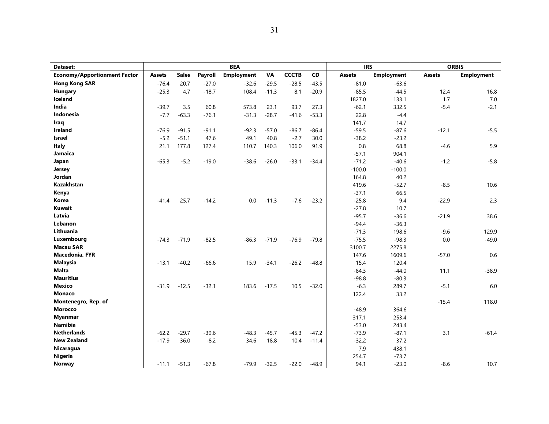| Dataset:                            |               |              |         | <b>BEA</b>        |           |              |         |               | <b>IRS</b>        |               | <b>ORBIS</b>      |
|-------------------------------------|---------------|--------------|---------|-------------------|-----------|--------------|---------|---------------|-------------------|---------------|-------------------|
| <b>Economy/Apportionment Factor</b> | <b>Assets</b> | <b>Sales</b> | Payroll | <b>Employment</b> | <b>VA</b> | <b>CCCTB</b> | CD      | <b>Assets</b> | <b>Employment</b> | <b>Assets</b> | <b>Employment</b> |
| <b>Hong Kong SAR</b>                | $-76.4$       | 20.7         | $-27.0$ | $-32.6$           | $-29.5$   | $-28.5$      | $-43.5$ | $-81.0$       | $-63.6$           |               |                   |
| Hungary                             | $-25.3$       | 4.7          | $-18.7$ | 108.4             | $-11.3$   | 8.1          | $-20.9$ | $-85.5$       | $-44.5$           | 12.4          | 16.8              |
| <b>Iceland</b>                      |               |              |         |                   |           |              |         | 1827.0        | 133.1             | 1.7           | $7.0\,$           |
| India                               | $-39.7$       | 3.5          | 60.8    | 573.8             | 23.1      | 93.7         | 27.3    | $-62.1$       | 332.5             | $-5.4$        | $-2.1$            |
| <b>Indonesia</b>                    | $-7.7$        | $-63.3$      | $-76.1$ | $-31.3$           | $-28.7$   | $-41.6$      | $-53.3$ | 22.8          | $-4.4$            |               |                   |
| Iraq                                |               |              |         |                   |           |              |         | 141.7         | 14.7              |               |                   |
| <b>Ireland</b>                      | $-76.9$       | $-91.5$      | $-91.1$ | $-92.3$           | $-57.0$   | $-86.7$      | $-86.4$ | $-59.5$       | $-87.6$           | $-12.1$       | $-5.5$            |
| <b>Israel</b>                       | $-5.2$        | $-51.1$      | 47.6    | 49.1              | 40.8      | $-2.7$       | 30.0    | $-38.2$       | $-23.2$           |               |                   |
| <b>Italy</b>                        | 21.1          | 177.8        | 127.4   | 110.7             | 140.3     | 106.0        | 91.9    | 0.8           | 68.8              | $-4.6$        | 5.9               |
| Jamaica                             |               |              |         |                   |           |              |         | $-57.1$       | 904.1             |               |                   |
| Japan                               | $-65.3$       | $-5.2$       | $-19.0$ | $-38.6$           | $-26.0$   | $-33.1$      | $-34.4$ | $-71.2$       | $-40.6$           | $-1.2$        | $-5.8$            |
| Jersey                              |               |              |         |                   |           |              |         | $-100.0$      | $-100.0$          |               |                   |
| Jordan                              |               |              |         |                   |           |              |         | 164.8         | 40.2              |               |                   |
| Kazakhstan                          |               |              |         |                   |           |              |         | 419.6         | $-52.7$           | $-8.5$        | 10.6              |
| Kenya                               |               |              |         |                   |           |              |         | $-37.1$       | 66.5              |               |                   |
| Korea                               | $-41.4$       | 25.7         | $-14.2$ | 0.0               | $-11.3$   | $-7.6$       | $-23.2$ | $-25.8$       | 9.4               | $-22.9$       | 2.3               |
| Kuwait                              |               |              |         |                   |           |              |         | $-27.8$       | 10.7              |               |                   |
| Latvia                              |               |              |         |                   |           |              |         | $-95.7$       | $-36.6$           | $-21.9$       | 38.6              |
| Lebanon                             |               |              |         |                   |           |              |         | $-94.4$       | $-36.3$           |               |                   |
| Lithuania                           |               |              |         |                   |           |              |         | $-71.3$       | 198.6             | $-9.6$        | 129.9             |
| Luxembourg                          | $-74.3$       | $-71.9$      | $-82.5$ | $-86.3$           | $-71.9$   | $-76.9$      | $-79.8$ | $-75.5$       | $-98.3$           | 0.0           | $-49.0$           |
| <b>Macau SAR</b>                    |               |              |         |                   |           |              |         | 3100.7        | 2275.8            |               |                   |
| <b>Macedonia, FYR</b>               |               |              |         |                   |           |              |         | 147.6         | 1609.6            | $-57.0$       | 0.6               |
| <b>Malaysia</b>                     | $-13.1$       | $-40.2$      | $-66.6$ | 15.9              | $-34.1$   | $-26.2$      | $-48.8$ | 15.4          | 120.4             |               |                   |
| <b>Malta</b>                        |               |              |         |                   |           |              |         | $-84.3$       | $-44.0$           | 11.1          | $-38.9$           |
| <b>Mauritius</b>                    |               |              |         |                   |           |              |         | $-98.8$       | $-80.3$           |               |                   |
| <b>Mexico</b>                       | $-31.9$       | $-12.5$      | $-32.1$ | 183.6             | $-17.5$   | 10.5         | $-32.0$ | $-6.3$        | 289.7             | $-5.1$        | 6.0               |
| <b>Monaco</b>                       |               |              |         |                   |           |              |         | 122.4         | 33.2              |               |                   |
| Montenegro, Rep. of                 |               |              |         |                   |           |              |         |               |                   | $-15.4$       | 118.0             |
| <b>Morocco</b>                      |               |              |         |                   |           |              |         | $-48.9$       | 364.6             |               |                   |
| <b>Myanmar</b>                      |               |              |         |                   |           |              |         | 317.1         | 253.4             |               |                   |
| <b>Namibia</b>                      |               |              |         |                   |           |              |         | $-53.0$       | 243.4             |               |                   |
| <b>Netherlands</b>                  | $-62.2$       | $-29.7$      | $-39.6$ | $-48.3$           | $-45.7$   | $-45.3$      | $-47.2$ | $-73.9$       | $-87.1$           | 3.1           | $-61.4$           |
| <b>New Zealand</b>                  | $-17.9$       | 36.0         | $-8.2$  | 34.6              | 18.8      | 10.4         | $-11.4$ | $-32.2$       | 37.2              |               |                   |
| Nicaragua                           |               |              |         |                   |           |              |         | 7.9           | 438.1             |               |                   |
| <b>Nigeria</b>                      |               |              |         |                   |           |              |         | 254.7         | $-73.7$           |               |                   |
| Norway                              | $-11.1$       | $-51.3$      | $-67.8$ | $-79.9$           | $-32.5$   | $-22.0$      | $-48.9$ | 94.1          | $-23.0$           | $-8.6$        | 10.7              |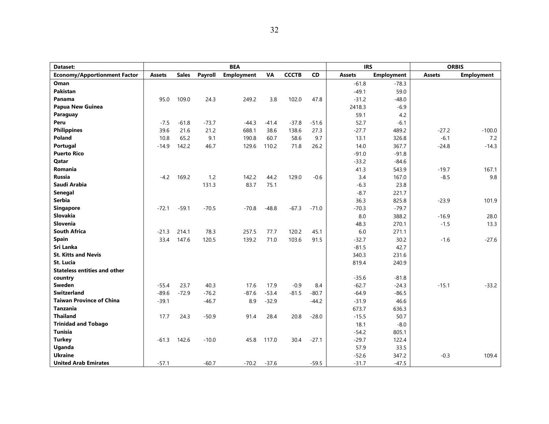| Dataset:                            |               |              |         | <b>BEA</b>        |         |              |           | <b>IRS</b>       |                   |               | <b>ORBIS</b>      |
|-------------------------------------|---------------|--------------|---------|-------------------|---------|--------------|-----------|------------------|-------------------|---------------|-------------------|
| <b>Economy/Apportionment Factor</b> | <b>Assets</b> | <b>Sales</b> | Payroll | <b>Employment</b> | VA      | <b>CCCTB</b> | <b>CD</b> | <b>Assets</b>    | <b>Employment</b> | <b>Assets</b> | <b>Employment</b> |
| Oman                                |               |              |         |                   |         |              |           | $-61.8$          | $-78.3$           |               |                   |
| Pakistan                            |               |              |         |                   |         |              |           | $-49.1$          | 59.0              |               |                   |
| Panama                              | 95.0          | 109.0        | 24.3    | 249.2             | 3.8     | 102.0        | 47.8      | $-31.2$          | $-48.0$           |               |                   |
| Papua New Guinea                    |               |              |         |                   |         |              |           | 2418.3           | $-6.9$            |               |                   |
| Paraguay                            |               |              |         |                   |         |              |           | 59.1             | 4.2               |               |                   |
| Peru                                | $-7.5$        | $-61.8$      | $-73.7$ | $-44.3$           | $-41.4$ | $-37.8$      | $-51.6$   | 52.7             | $-6.1$            |               |                   |
| <b>Philippines</b>                  | 39.6          | 21.6         | 21.2    | 688.1             | 38.6    | 138.6        | 27.3      | $-27.7$          | 489.2             | $-27.2$       | $-100.0$          |
| Poland                              | 10.8          | 65.2         | 9.1     | 190.8             | 60.7    | 58.6         | 9.7       | 13.1             | 326.8             | $-6.1$        | 7.2               |
| Portugal                            | $-14.9$       | 142.2        | 46.7    | 129.6             | 110.2   | 71.8         | 26.2      | 14.0             | 367.7             | $-24.8$       | $-14.3$           |
| <b>Puerto Rico</b>                  |               |              |         |                   |         |              |           | $-91.0$          | $-91.8$           |               |                   |
| <b>Qatar</b>                        |               |              |         |                   |         |              |           | $-33.2$          | $-84.6$           |               |                   |
| Romania                             |               |              |         |                   |         |              |           | 41.3             | 543.9             | $-19.7$       | 167.1             |
| <b>Russia</b>                       | $-4.2$        | 169.2        | 1.2     | 142.2             | 44.2    | 129.0        | $-0.6$    | 3.4              | 167.0             | $-8.5$        | 9.8               |
| Saudi Arabia                        |               |              | 131.3   | 83.7              | 75.1    |              |           | $-6.3$           | 23.8              |               |                   |
| Senegal                             |               |              |         |                   |         |              |           | $-8.7$           | 221.7             |               |                   |
| <b>Serbia</b>                       |               |              |         |                   |         |              |           | 36.3             | 825.8             | $-23.9$       | 101.9             |
| <b>Singapore</b>                    | $-72.1$       | $-59.1$      | $-70.5$ | $-70.8$           | $-48.8$ | $-67.3$      | $-71.0$   | $-70.3$          | $-79.7$           |               |                   |
| <b>Slovakia</b>                     |               |              |         |                   |         |              |           | 8.0              | 388.2             | $-16.9$       | 28.0              |
| <b>Slovenia</b>                     |               |              |         |                   |         |              |           | 48.3             | 270.1             | $-1.5$        | 13.3              |
| <b>South Africa</b>                 | $-21.3$       | 214.1        | 78.3    | 257.5             | 77.7    | 120.2        | 45.1      | 6.0              | 271.1             |               |                   |
| Spain                               | 33.4          | 147.6        | 120.5   | 139.2             | 71.0    | 103.6        | 91.5      | $-32.7$          | 30.2              | $-1.6$        | $-27.6$           |
| Sri Lanka                           |               |              |         |                   |         |              |           | $-81.5$          | 42.7              |               |                   |
| <b>St. Kitts and Nevis</b>          |               |              |         |                   |         |              |           | 340.3            | 231.6             |               |                   |
| St. Lucia                           |               |              |         |                   |         |              |           | 819.4            | 240.9             |               |                   |
| <b>Stateless entities and other</b> |               |              |         |                   |         |              |           |                  |                   |               |                   |
| country                             |               |              |         |                   |         |              |           | $-35.6$          | $-81.8$           |               |                   |
| Sweden<br><b>Switzerland</b>        | -55.4         | 23.7         | 40.3    | 17.6              | 17.9    | $-0.9$       | 8.4       | $-62.7$          | $-24.3$           | $-15.1$       | $-33.2$           |
| <b>Taiwan Province of China</b>     | $-89.6$       | $-72.9$      | $-76.2$ | $-87.6$           | $-53.4$ | $-81.5$      | $-80.7$   | $-64.9$          | $-86.5$           |               |                   |
| <b>Tanzania</b>                     | $-39.1$       |              | $-46.7$ | 8.9               | $-32.9$ |              | $-44.2$   | $-31.9$          | 46.6              |               |                   |
| <b>Thailand</b>                     | 17.7          | 24.3         | $-50.9$ | 91.4              | 28.4    | 20.8         | $-28.0$   | 673.7<br>$-15.5$ | 636.3<br>50.7     |               |                   |
| <b>Trinidad and Tobago</b>          |               |              |         |                   |         |              |           | 18.1             |                   |               |                   |
| <b>Tunisia</b>                      |               |              |         |                   |         |              |           | $-54.2$          | $-8.0$<br>805.1   |               |                   |
| <b>Turkey</b>                       | $-61.3$       | 142.6        | $-10.0$ | 45.8              | 117.0   | 30.4         | $-27.1$   | $-29.7$          | 122.4             |               |                   |
| Uganda                              |               |              |         |                   |         |              |           | 57.9             | 33.5              |               |                   |
| <b>Ukraine</b>                      |               |              |         |                   |         |              |           | $-52.6$          | 347.2             | $-0.3$        | 109.4             |
| <b>United Arab Emirates</b>         | $-57.1$       |              | $-60.7$ | $-70.2$           | $-37.6$ |              | $-59.5$   | $-31.7$          | $-47.5$           |               |                   |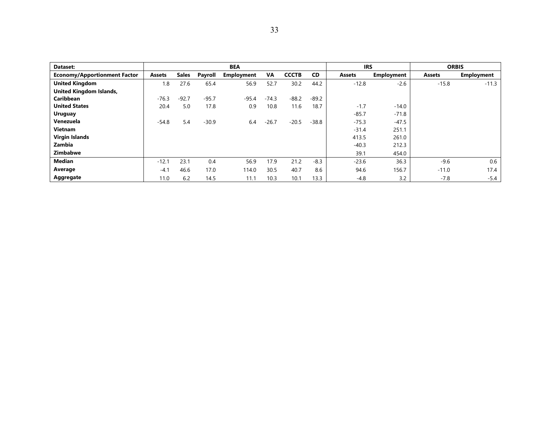| Dataset:                            |               |              |         | <b>BEA</b>        |         |              |           | <b>IRS</b>    |                   | <b>ORBIS</b>  |                   |
|-------------------------------------|---------------|--------------|---------|-------------------|---------|--------------|-----------|---------------|-------------------|---------------|-------------------|
| <b>Economy/Apportionment Factor</b> | <b>Assets</b> | <b>Sales</b> | Payroll | <b>Employment</b> | VA      | <b>CCCTB</b> | <b>CD</b> | <b>Assets</b> | <b>Employment</b> | <b>Assets</b> | <b>Employment</b> |
| <b>United Kingdom</b>               | 1.8           | 27.6         | 65.4    | 56.9              | 52.7    | 30.2         | 44.2      | $-12.8$       | $-2.6$            | $-15.8$       | $-11.3$           |
| United Kingdom Islands,             |               |              |         |                   |         |              |           |               |                   |               |                   |
| <b>Caribbean</b>                    | $-76.3$       | $-92.7$      | $-95.7$ | $-95.4$           | $-74.3$ | $-88.2$      | $-89.2$   |               |                   |               |                   |
| <b>United States</b>                | 20.4          | 5.0          | 17.8    | 0.9               | 10.8    | 11.6         | 18.7      | $-1.7$        | $-14.0$           |               |                   |
| <b>Uruguay</b>                      |               |              |         |                   |         |              |           | $-85.7$       | $-71.8$           |               |                   |
| Venezuela                           | $-54.8$       | 5.4          | $-30.9$ | 6.4               | $-26.7$ | $-20.5$      | $-38.8$   | $-75.3$       | $-47.5$           |               |                   |
| <b>Vietnam</b>                      |               |              |         |                   |         |              |           | $-31.4$       | 251.1             |               |                   |
| Virgin Islands                      |               |              |         |                   |         |              |           | 413.5         | 261.0             |               |                   |
| Zambia                              |               |              |         |                   |         |              |           | $-40.3$       | 212.3             |               |                   |
| <b>Zimbabwe</b>                     |               |              |         |                   |         |              |           | 39.1          | 454.0             |               |                   |
| Median                              | $-12.1$       | 23.1         | 0.4     | 56.9              | 17.9    | 21.2         | $-8.3$    | $-23.6$       | 36.3              | $-9.6$        | 0.6               |
| Average                             | $-4.1$        | 46.6         | 17.0    | 114.0             | 30.5    | 40.7         | 8.6       | 94.6          | 156.7             | $-11.0$       | 17.4              |
| Aggregate                           | 11.0          | 6.2          | 14.5    | 11.1              | 10.3    | 10.1         | 13.3      | $-4.8$        | 3.2               | $-7.8$        | $-5.4$            |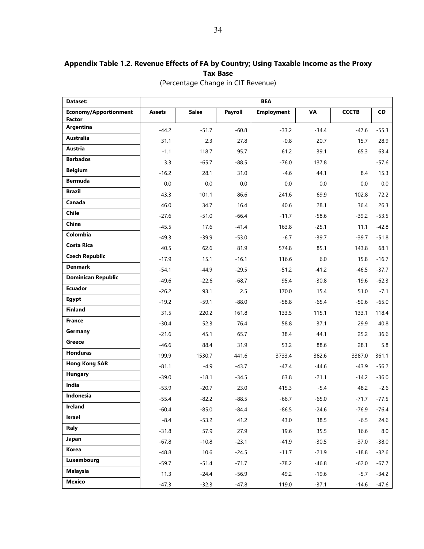# **Appendix Table 1.2. Revenue Effects of FA by Country; Using Taxable Income as the Proxy Tax Base**

| (Percentage Change in CIT Revenue) |  |  |
|------------------------------------|--|--|
|                                    |  |  |

| Dataset:                     | <b>BEA</b>    |              |         |                   |         |              |           |  |  |  |  |
|------------------------------|---------------|--------------|---------|-------------------|---------|--------------|-----------|--|--|--|--|
| <b>Economy/Apportionment</b> | <b>Assets</b> | <b>Sales</b> | Payroll | <b>Employment</b> | VA      | <b>CCCTB</b> | <b>CD</b> |  |  |  |  |
| <b>Factor</b><br>Argentina   |               |              |         |                   |         |              |           |  |  |  |  |
| Australia                    | $-44.2$       | $-51.7$      | $-60.8$ | $-33.2$           | $-34.4$ | $-47.6$      | $-55.3$   |  |  |  |  |
| Austria                      | 31.1          | 2.3          | 27.8    | $-0.8$            | 20.7    | 15.7         | 28.9      |  |  |  |  |
| <b>Barbados</b>              | $-1.1$        | 118.7        | 95.7    | 61.2              | 39.1    | 65.3         | 63.4      |  |  |  |  |
| <b>Belgium</b>               | 3.3           | $-65.7$      | $-88.5$ | $-76.0$           | 137.8   |              | $-57.6$   |  |  |  |  |
| <b>Bermuda</b>               | $-16.2$       | 28.1         | 31.0    | -4.6              | 44.1    | 8.4          | 15.3      |  |  |  |  |
| <b>Brazil</b>                | 0.0           | 0.0          | 0.0     | 0.0               | 0.0     | 0.0          | 0.0       |  |  |  |  |
| Canada                       | 43.3          | 101.1        | 86.6    | 241.6             | 69.9    | 102.8        | 72.2      |  |  |  |  |
| Chile                        | 46.0          | 34.7         | 16.4    | 40.6              | 28.1    | 36.4         | 26.3      |  |  |  |  |
| China                        | $-27.6$       | $-51.0$      | $-66.4$ | $-11.7$           | $-58.6$ | $-39.2$      | $-53.5$   |  |  |  |  |
| Colombia                     | $-45.5$       | 17.6         | $-41.4$ | 163.8             | $-25.1$ | 11.1         | $-42.8$   |  |  |  |  |
|                              | $-49.3$       | $-39.9$      | $-53.0$ | $-6.7$            | $-39.7$ | $-39.7$      | $-51.8$   |  |  |  |  |
| <b>Costa Rica</b>            | 40.5          | 62.6         | 81.9    | 574.8             | 85.1    | 143.8        | 68.1      |  |  |  |  |
| <b>Czech Republic</b>        | $-17.9$       | 15.1         | $-16.1$ | 116.6             | 6.0     | 15.8         | $-16.7$   |  |  |  |  |
| <b>Denmark</b>               | $-54.1$       | $-44.9$      | $-29.5$ | $-51.2$           | $-41.2$ | $-46.5$      | $-37.7$   |  |  |  |  |
| <b>Dominican Republic</b>    | $-49.6$       | $-22.6$      | $-68.7$ | 95.4              | $-30.8$ | $-19.6$      | $-62.3$   |  |  |  |  |
| <b>Ecuador</b>               | $-26.2$       | 93.1         | 2.5     | 170.0             | 15.4    | 51.0         | $-7.1$    |  |  |  |  |
| Egypt                        | $-19.2$       | $-59.1$      | $-88.0$ | $-58.8$           | $-65.4$ | $-50.6$      | $-65.0$   |  |  |  |  |
| <b>Finland</b>               | 31.5          | 220.2        | 161.8   | 133.5             | 115.1   | 133.1        | 118.4     |  |  |  |  |
| <b>France</b>                | $-30.4$       | 52.3         | 76.4    | 58.8              | 37.1    | 29.9         | 40.8      |  |  |  |  |
| Germany                      | $-21.6$       | 45.1         | 65.7    | 38.4              | 44.1    | 25.2         | 36.6      |  |  |  |  |
| <b>Greece</b>                | $-46.6$       | 88.4         | 31.9    | 53.2              | 88.6    | 28.1         | 5.8       |  |  |  |  |
| Honduras                     | 199.9         | 1530.7       | 441.6   | 3733.4            | 382.6   | 3387.0       | 361.1     |  |  |  |  |
| <b>Hong Kong SAR</b>         | $-81.1$       | $-4.9$       | $-43.7$ | -47.4             | $-44.6$ | $-43.9$      | $-56.2$   |  |  |  |  |
| <b>Hungary</b>               | $-39.0$       | $-18.1$      | $-34.5$ | 63.8              | $-21.1$ | $-14.2$      | $-36.0$   |  |  |  |  |
| India                        | $-53.9$       | $-20.7$      | 23.0    | 415.3             | $-5.4$  | 48.2         | $-2.6$    |  |  |  |  |
| Indonesia                    | $-55.4$       | $-82.2$      | $-88.5$ | $-66.7$           | $-65.0$ | $-71.7$      | $-77.5$   |  |  |  |  |
| Ireland                      | $-60.4$       | $-85.0$      | $-84.4$ | $-86.5$           | $-24.6$ | $-76.9$      | $-76.4$   |  |  |  |  |
| Israel                       | $-8.4$        | $-53.2$      | 41.2    | 43.0              | 38.5    | $-6.5$       | 24.6      |  |  |  |  |
| Italy                        | $-31.8$       | 57.9         | 27.9    | 19.6              | 35.5    | 16.6         | 8.0       |  |  |  |  |
| Japan                        | $-67.8$       | $-10.8$      | $-23.1$ | $-41.9$           | $-30.5$ | $-37.0$      | $-38.0$   |  |  |  |  |
| Korea                        | $-48.8$       | 10.6         | $-24.5$ | $-11.7$           | $-21.9$ | $-18.8$      | $-32.6$   |  |  |  |  |
| Luxembourg                   | $-59.7$       | $-51.4$      | $-71.7$ | $-78.2$           | $-46.8$ | $-62.0$      | $-67.7$   |  |  |  |  |
| <b>Malaysia</b>              | 11.3          | $-24.4$      | $-56.9$ | 49.2              | $-19.6$ | $-5.7$       | $-34.2$   |  |  |  |  |
| <b>Mexico</b>                | $-47.3$       | $-32.3$      | $-47.8$ | 119.0             | $-37.1$ | $-14.6$      | $-47.6$   |  |  |  |  |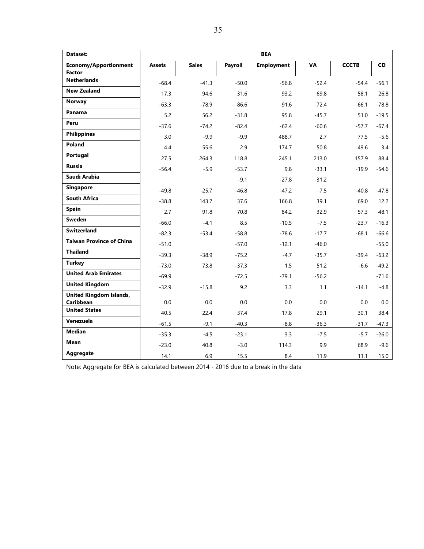| Dataset:                                      |               |              |         | <b>BEA</b>        |           |              |           |
|-----------------------------------------------|---------------|--------------|---------|-------------------|-----------|--------------|-----------|
| <b>Economy/Apportionment</b><br><b>Factor</b> | <b>Assets</b> | <b>Sales</b> | Payroll | <b>Employment</b> | <b>VA</b> | <b>CCCTB</b> | <b>CD</b> |
| <b>Netherlands</b>                            | $-68.4$       | $-41.3$      | $-50.0$ | $-56.8$           | $-52.4$   | $-54.4$      | $-56.1$   |
| <b>New Zealand</b>                            | 17.3          | 94.6         | 31.6    | 93.2              | 69.8      | 58.1         | 26.8      |
| Norway                                        | $-63.3$       | $-78.9$      | $-86.6$ | $-91.6$           | $-72.4$   | $-66.1$      | $-78.8$   |
| Panama                                        | 5.2           | 56.2         | $-31.8$ | 95.8              | $-45.7$   | 51.0         | $-19.5$   |
| Peru                                          | $-37.6$       | $-74.2$      | $-82.4$ | $-62.4$           | $-60.6$   | $-57.7$      | $-67.4$   |
| <b>Philippines</b>                            | 3.0           | $-9.9$       | $-9.9$  | 488.7             | 2.7       | 77.5         | $-5.6$    |
| Poland                                        | 4.4           | 55.6         | 2.9     | 174.7             | 50.8      | 49.6         | 3.4       |
| Portugal                                      | 27.5          | 264.3        | 118.8   | 245.1             | 213.0     | 157.9        | 88.4      |
| Russia                                        | $-56.4$       | $-5.9$       | $-53.7$ | 9.8               | $-33.1$   | $-19.9$      | $-54.6$   |
| Saudi Arabia                                  |               |              | $-9.1$  | $-27.8$           | $-31.2$   |              |           |
| <b>Singapore</b>                              | $-49.8$       | $-25.7$      | $-46.8$ | $-47.2$           | $-7.5$    | $-40.8$      | $-47.8$   |
| <b>South Africa</b>                           | $-38.8$       | 143.7        | 37.6    | 166.8             | 39.1      | 69.0         | 12.2      |
| <b>Spain</b>                                  | 2.7           | 91.8         | 70.8    | 84.2              | 32.9      | 57.3         | 48.1      |
| Sweden                                        | $-66.0$       | $-4.1$       | 8.5     | $-10.5$           | $-7.5$    | $-23.7$      | $-16.3$   |
| <b>Switzerland</b>                            | $-82.3$       | $-53.4$      | $-58.8$ | $-78.6$           | $-17.7$   | $-68.1$      | $-66.6$   |
| <b>Taiwan Province of China</b>               | $-51.0$       |              | $-57.0$ | $-12.1$           | $-46.0$   |              | $-55.0$   |
| <b>Thailand</b>                               | $-39.3$       | $-38.9$      | $-75.2$ | $-4.7$            | $-35.7$   | $-39.4$      | $-63.2$   |
| <b>Turkey</b>                                 | $-73.0$       | 73.8         | $-37.3$ | 1.5               | 51.2      | $-6.6$       | $-49.2$   |
| <b>United Arab Emirates</b>                   | $-69.9$       |              | $-72.5$ | $-79.1$           | $-56.2$   |              | $-71.6$   |
| <b>United Kingdom</b>                         | $-32.9$       | $-15.8$      | 9.2     | 3.3               | 1.1       | $-14.1$      | $-4.8$    |
| <b>United Kingdom Islands,</b>                |               |              |         |                   |           |              |           |
| <b>Caribbean</b><br><b>United States</b>      | 0.0           | 0.0          | 0.0     | 0.0               | 0.0       | 0.0          | 0.0       |
| Venezuela                                     | 40.5          | 22.4         | 37.4    | 17.8              | 29.1      | 30.1         | 38.4      |
| <b>Median</b>                                 | $-61.5$       | $-9.1$       | $-40.3$ | $-8.8$            | $-36.3$   | $-31.7$      | $-47.3$   |
|                                               | $-35.3$       | $-4.5$       | $-23.1$ | 3.3               | $-7.5$    | $-5.7$       | $-26.0$   |
| <b>Mean</b>                                   | $-23.0$       | 40.8         | $-3.0$  | 114.3             | 9.9       | 68.9         | $-9.6$    |
| Aggregate                                     | 14.1          | 6.9          | 15.5    | 8.4               | 11.9      | 11.1         | 15.0      |

Note: Aggregate for BEA is calculated between 2014 - 2016 due to a break in the data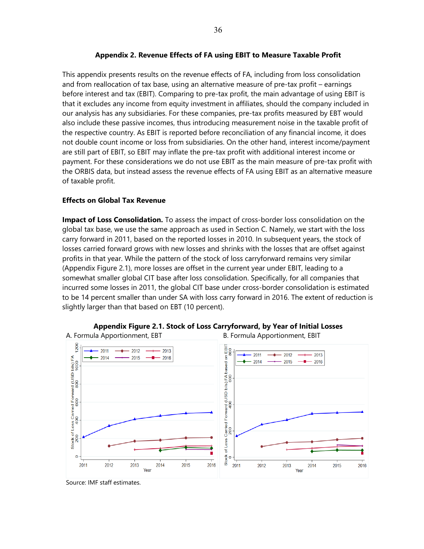#### **Appendix 2. Revenue Effects of FA using EBIT to Measure Taxable Profit**

This appendix presents results on the revenue effects of FA, including from loss consolidation and from reallocation of tax base, using an alternative measure of pre-tax profit – earnings before interest and tax (EBIT). Comparing to pre-tax profit, the main advantage of using EBIT is that it excludes any income from equity investment in affiliates, should the company included in our analysis has any subsidiaries. For these companies, pre-tax profits measured by EBT would also include these passive incomes, thus introducing measurement noise in the taxable profit of the respective country. As EBIT is reported before reconciliation of any financial income, it does not double count income or loss from subsidiaries. On the other hand, interest income/payment are still part of EBIT, so EBIT may inflate the pre-tax profit with additional interest income or payment. For these considerations we do not use EBIT as the main measure of pre-tax profit with the ORBIS data, but instead assess the revenue effects of FA using EBIT as an alternative measure of taxable profit.

#### **Effects on Global Tax Revenue**

**Impact of Loss Consolidation.** To assess the impact of cross-border loss consolidation on the global tax base, we use the same approach as used in Section C. Namely, we start with the loss carry forward in 2011, based on the reported losses in 2010. In subsequent years, the stock of losses carried forward grows with new losses and shrinks with the losses that are offset against profits in that year. While the pattern of the stock of loss carryforward remains very similar (Appendix Figure 2.1), more losses are offset in the current year under EBIT, leading to a somewhat smaller global CIT base after loss consolidation. Specifically, for all companies that incurred some losses in 2011, the global CIT base under cross-border consolidation is estimated to be 14 percent smaller than under SA with loss carry forward in 2016. The extent of reduction is slightly larger than that based on EBT (10 percent).



**Appendix Figure 2.1. Stock of Loss Carryforward, by Year of Initial Losses**

Source: IMF staff estimates.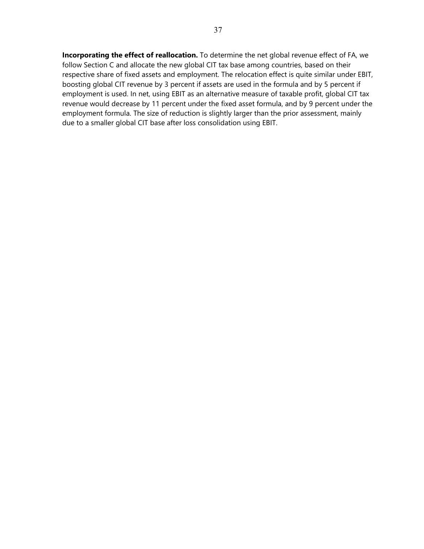**Incorporating the effect of reallocation.** To determine the net global revenue effect of FA, we follow Section C and allocate the new global CIT tax base among countries, based on their respective share of fixed assets and employment. The relocation effect is quite similar under EBIT, boosting global CIT revenue by 3 percent if assets are used in the formula and by 5 percent if employment is used. In net, using EBIT as an alternative measure of taxable profit, global CIT tax revenue would decrease by 11 percent under the fixed asset formula, and by 9 percent under the employment formula. The size of reduction is slightly larger than the prior assessment, mainly due to a smaller global CIT base after loss consolidation using EBIT.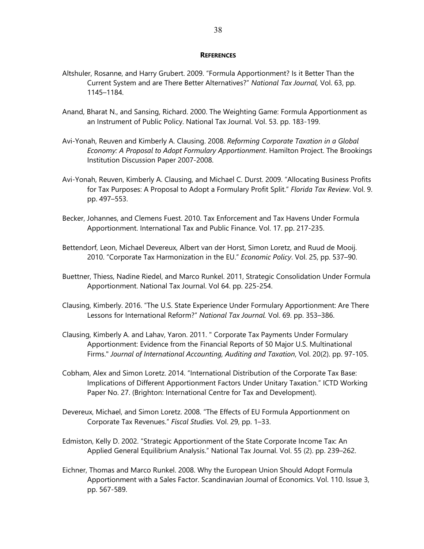#### **REFERENCES**

- Altshuler, Rosanne, and Harry Grubert. 2009. "Formula Apportionment? Is it Better Than the Current System and are There Better Alternatives?" *National Tax Journal,* Vol. 63, pp. 1145–1184.
- Anand, Bharat N., and Sansing, Richard. 2000. The Weighting Game: Formula Apportionment as an Instrument of Public Policy. National Tax Journal. Vol. 53. pp. 183-199.
- Avi-Yonah, Reuven and Kimberly A. Clausing. 2008. *Reforming Corporate Taxation in a Global Economy: A Proposal to Adopt Formulary Apportionment*. Hamilton Project. The Brookings Institution Discussion Paper 2007-2008.
- Avi-Yonah, Reuven, Kimberly A. Clausing, and Michael C. Durst. 2009. "Allocating Business Profits for Tax Purposes: A Proposal to Adopt a Formulary Profit Split." *Florida Tax Review*. Vol. 9. pp. 497–553.
- Becker, Johannes, and Clemens Fuest. 2010. Tax Enforcement and Tax Havens Under Formula Apportionment. International Tax and Public Finance. Vol. 17. pp. 217-235.
- Bettendorf, Leon, Michael Devereux, Albert van der Horst, Simon Loretz, and Ruud de Mooij. 2010. "Corporate Tax Harmonization in the EU." *Economic Policy*. Vol. 25, pp. 537–90.
- Buettner, Thiess, Nadine Riedel, and Marco Runkel. 2011, Strategic Consolidation Under Formula Apportionment. National Tax Journal. Vol 64. pp. 225-254.
- Clausing, Kimberly. 2016. "The U.S. State Experience Under Formulary Apportionment: Are There Lessons for International Reform?" *National Tax Journal.* Vol. 69. pp. 353–386.
- Clausing, Kimberly A. and Lahav, Yaron. 2011. " Corporate Tax Payments Under Formulary Apportionment: Evidence from the Financial Reports of 50 Major U.S. Multinational Firms." *Journal of International Accounting, Auditing and Taxation*, Vol. 20(2). pp. 97-105.
- Cobham, Alex and Simon Loretz. 2014. "International Distribution of the Corporate Tax Base: Implications of Different Apportionment Factors Under Unitary Taxation." ICTD Working Paper No. 27. (Brighton: International Centre for Tax and Development).
- Devereux, Michael, and Simon Loretz. 2008. "The Effects of EU Formula Apportionment on Corporate Tax Revenues." *Fiscal Studies.* Vol. 29, pp. 1–33.
- Edmiston, Kelly D. 2002. "Strategic Apportionment of the State Corporate Income Tax: An Applied General Equilibrium Analysis." National Tax Journal. Vol. 55 (2). pp. 239–262.
- Eichner, Thomas and Marco Runkel. 2008. Why the European Union Should Adopt Formula Apportionment with a Sales Factor. Scandinavian Journal of Economics. Vol. 110. Issue 3, pp. 567-589.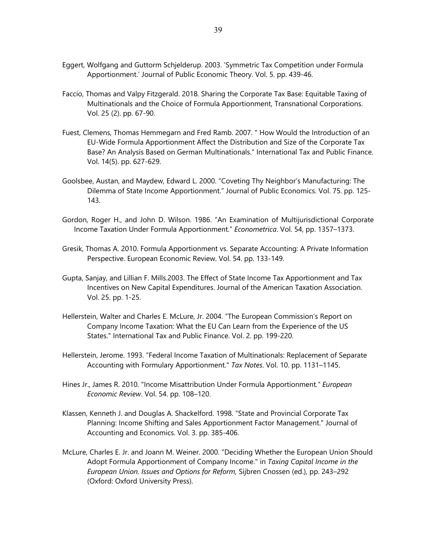- Eggert, Wolfgang and Guttorm Schjelderup. 2003. 'Symmetric Tax Competition under Formula Apportionment.' Journal of Public Economic Theory. Vol. 5. pp. 439-46.
- Faccio, Thomas and Valpy Fitzgerald. 2018. Sharing the Corporate Tax Base: Equitable Taxing of Multinationals and the Choice of Formula Apportionment, Transnational Corporations. Vol. 25 (2). pp. 67-90.
- Fuest, Clemens, Thomas Hemmegarn and Fred Ramb. 2007. " How Would the Introduction of an EU-Wide Formula Apportionment Affect the Distribution and Size of the Corporate Tax Base? An Analysis Based on German Multinationals." International Tax and Public Finance. Vol. 14(5). pp. 627-629.
- Goolsbee, Austan, and Maydew, Edward L. 2000. "Coveting Thy Neighbor's Manufacturing: The Dilemma of State Income Apportionment." Journal of Public Economics. Vol. 75. pp. 125- 143.
- Gordon, Roger H., and John D. Wilson. 1986. "An Examination of Multijurisdictional Corporate Income Taxation Under Formula Apportionment." *Econometrica*. Vol. 54, pp. 1357–1373.
- Gresik, Thomas A. 2010. Formula Apportionment vs. Separate Accounting: A Private Information Perspective. European Economic Review. Vol. 54. pp. 133-149.
- Gupta, Sanjay, and Lillian F. Mills.2003. The Effect of State Income Tax Apportionment and Tax Incentives on New Capital Expenditures. Journal of the American Taxation Association. Vol. 25. pp. 1-25.
- Hellerstein, Walter and Charles E. McLure, Jr. 2004. "The European Commission's Report on Company Income Taxation: What the EU Can Learn from the Experience of the US States." International Tax and Public Finance. Vol. 2. pp. 199-220.
- Hellerstein, Jerome. 1993. "Federal Income Taxation of Multinationals: Replacement of Separate Accounting with Formulary Apportionment." *Tax Notes*. Vol. 10. pp. 1131–1145.
- Hines Jr., James R. 2010. "Income Misattribution Under Formula Apportionment*." European Economic Review*. Vol. 54. pp. 108–120.
- Klassen, Kenneth J. and Douglas A. Shackelford. 1998. "State and Provincial Corporate Tax Planning: Income Shifting and Sales Apportionment Factor Management." Journal of Accounting and Economics. Vol. 3. pp. 385-406.
- McLure, Charles E. Jr. and Joann M. Weiner. 2000. "Deciding Whether the European Union Should Adopt Formula Apportionment of Company Income." in *Taxing Capital Income in the European Union. Issues and Options for Reform,* Sijbren Cnossen (ed.), pp. 243–292 (Oxford: Oxford University Press).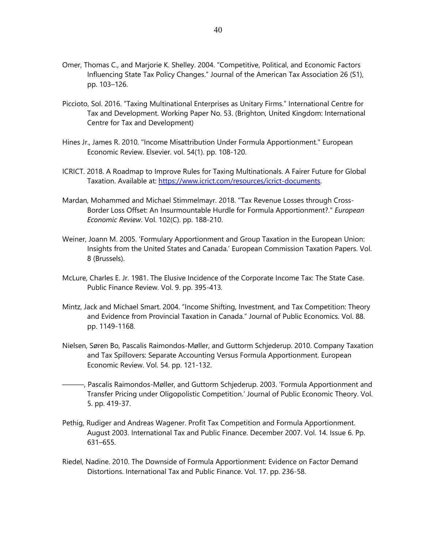- Omer, Thomas C., and Marjorie K. Shelley. 2004. "Competitive, Political, and Economic Factors Influencing State Tax Policy Changes." Journal of the American Tax Association 26 (S1), pp. 103–126.
- Piccioto, Sol. 2016. "Taxing Multinational Enterprises as Unitary Firms." International Centre for Tax and Development. Working Paper No. 53. (Brighton, United Kingdom: International Centre for Tax and Development)
- Hines Jr., James R. 2010. "Income Misattribution Under Formula Apportionment." European Economic Review. Elsevier. vol. 54(1). pp. 108-120.
- ICRICT. 2018. A Roadmap to Improve Rules for Taxing Multinationals. A Fairer Future for Global Taxation. Available at: https://www.icrict.com/resources/icrict-documents.
- Mardan, Mohammed and Michael Stimmelmayr. 2018. "Tax Revenue Losses through Cross-Border Loss Offset: An Insurmountable Hurdle for Formula Apportionment?." *European Economic Review*. Vol. 102(C). pp. 188-210.
- Weiner, Joann M. 2005. 'Formulary Apportionment and Group Taxation in the European Union: Insights from the United States and Canada.' European Commission Taxation Papers. Vol. 8 (Brussels).
- McLure, Charles E. Jr. 1981. The Elusive Incidence of the Corporate Income Tax: The State Case. Public Finance Review. Vol. 9. pp. 395-413.
- Mintz, Jack and Michael Smart. 2004. "Income Shifting, Investment, and Tax Competition: Theory and Evidence from Provincial Taxation in Canada." Journal of Public Economics. Vol. 88. pp. 1149-1168.
- Nielsen, Søren Bo, Pascalis Raimondos-Møller, and Guttorm Schjederup. 2010. Company Taxation and Tax Spillovers: Separate Accounting Versus Formula Apportionment. European Economic Review. Vol. 54. pp. 121-132.
- ———, Pascalis Raimondos-Møller, and Guttorm Schjederup. 2003. 'Formula Apportionment and Transfer Pricing under Oligopolistic Competition.' Journal of Public Economic Theory. Vol. 5. pp. 419-37.
- Pethig, Rudiger and Andreas Wagener. Profit Tax Competition and Formula Apportionment. August 2003. International Tax and Public Finance. December 2007. Vol. 14. Issue 6. Pp. 631–655.
- Riedel, Nadine. 2010. The Downside of Formula Apportionment: Evidence on Factor Demand Distortions. International Tax and Public Finance. Vol. 17. pp. 236-58.